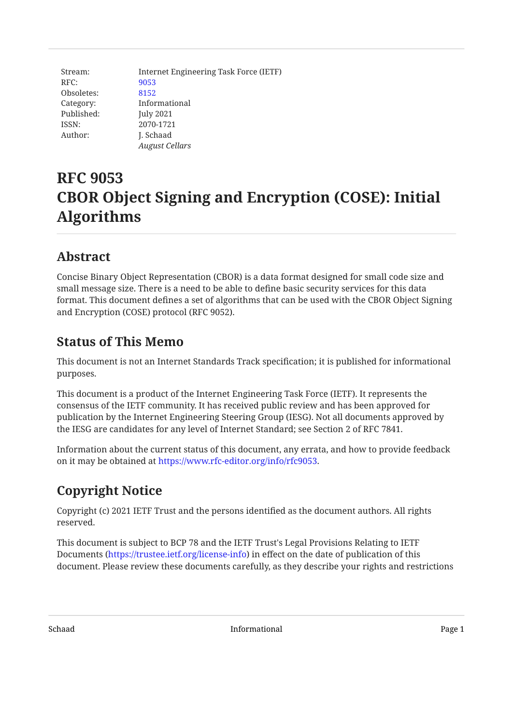Stream: Internet Engineering Task Force (IETF) RFC: [9053](https://www.rfc-editor.org/rfc/rfc9053) Obsoletes: [8152](https://www.rfc-editor.org/rfc/rfc8152) Category: Informational Published: July 2021 ISSN: 2070-1721 Author: **J. Schaad** *August Cellars*

# **RFC 9053 CBOR Object Signing and Encryption (COSE): Initial Algorithms**

## <span id="page-0-0"></span>**[Abstract](#page-0-0)**

Concise Binary Object Representation (CBOR) is a data format designed for small code size and small message size. There is a need to be able to define basic security services for this data format. This document defines a set of algorithms that can be used with the CBOR Object Signing and Encryption (COSE) protocol (RFC 9052).

## <span id="page-0-1"></span>**[Status of This Memo](#page-0-1)**

This document is not an Internet Standards Track specification; it is published for informational purposes.

This document is a product of the Internet Engineering Task Force (IETF). It represents the consensus of the IETF community. It has received public review and has been approved for publication by the Internet Engineering Steering Group (IESG). Not all documents approved by the IESG are candidates for any level of Internet Standard; see Section 2 of RFC 7841.

Information about the current status of this document, any errata, and how to provide feedback on it may be obtained at <https://www.rfc-editor.org/info/rfc9053>.

## <span id="page-0-2"></span>**[Copyright Notice](#page-0-2)**

Copyright (c) 2021 IETF Trust and the persons identified as the document authors. All rights reserved.

This document is subject to BCP 78 and the IETF Trust's Legal Provisions Relating to IETF Documents (<https://trustee.ietf.org/license-info>) in effect on the date of publication of this document. Please review these documents carefully, as they describe your rights and restrictions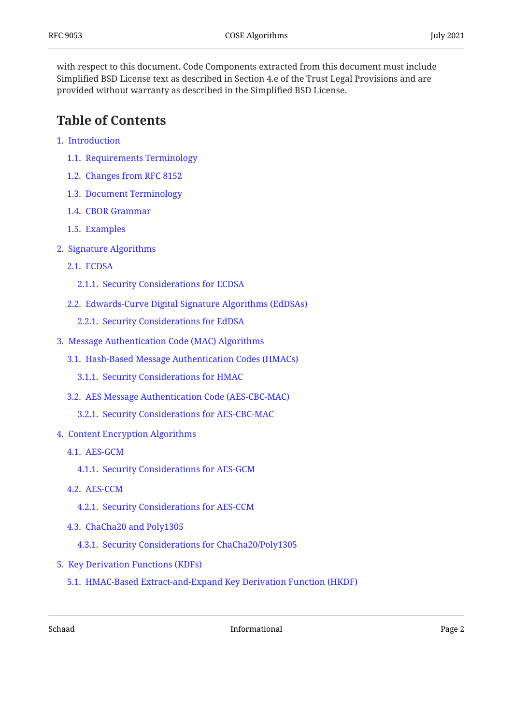with respect to this document. Code Components extracted from this document must include Simplified BSD License text as described in Section 4.e of the Trust Legal Provisions and are provided without warranty as described in the Simplified BSD License.

## <span id="page-1-0"></span>**[Table of Contents](#page-1-0)**

- [1.](#page-3-0) [Introduction](#page-3-0)
	- [1.1.](#page-3-1) [Requirements Terminology](#page-3-1)
	- [1.2.](#page-3-2) [Changes from RFC 8152](#page-3-2)
	- [1.3.](#page-3-3) [Document Terminology](#page-3-3)
	- [1.4.](#page-4-0) [CBOR Grammar](#page-4-0)
	- [1.5.](#page-4-1) [Examples](#page-4-1)
- [2.](#page-4-2) [Signature Algorithms](#page-4-2)
	- [2.1.](#page-5-0) [ECDSA](#page-5-0)
		- [2.1.1.](#page-6-0) [Security Considerations for ECDSA](#page-6-0)
	- [2.2.](#page-6-1) [Edwards-Curve Digital Signature Algorithms \(EdDSAs\)](#page-6-1)
		- [2.2.1.](#page-7-0) [Security Considerations for EdDSA](#page-7-0)
- [3.](#page-7-1) [Message Authentication Code \(MAC\) Algorithms](#page-7-1)
	- [3.1.](#page-7-2) [Hash-Based Message Authentication Codes \(HMACs\)](#page-7-2)
		- [3.1.1.](#page-8-0) [Security Considerations for HMAC](#page-8-0)
	- [3.2.](#page-9-0) [AES Message Authentication Code \(AES-CBC-MAC\)](#page-9-0)
		- [3.2.1.](#page-9-1) [Security Considerations for AES-CBC-MAC](#page-9-1)
- [4.](#page-10-0) [Content Encryption Algorithms](#page-10-0)
	- [4.1.](#page-10-1) [AES-GCM](#page-10-1)
		- [4.1.1.](#page-11-0) [Security Considerations for AES-GCM](#page-11-0)
	- [4.2.](#page-11-1) [AES-CCM](#page-11-1)
		- [4.2.1.](#page-13-0) [Security Considerations for AES-CCM](#page-13-0)
	- [4.3.](#page-13-1) [ChaCha20 and Poly1305](#page-13-1)
		- [4.3.1.](#page-14-0) [Security Considerations for ChaCha20/Poly1305](#page-14-0)
- [5.](#page-14-1) [Key Derivation Functions \(KDFs\)](#page-14-1)
	- [5.1.](#page-14-2) [HMAC-Based Extract-and-Expand Key Derivation Function \(HKDF\)](#page-14-2)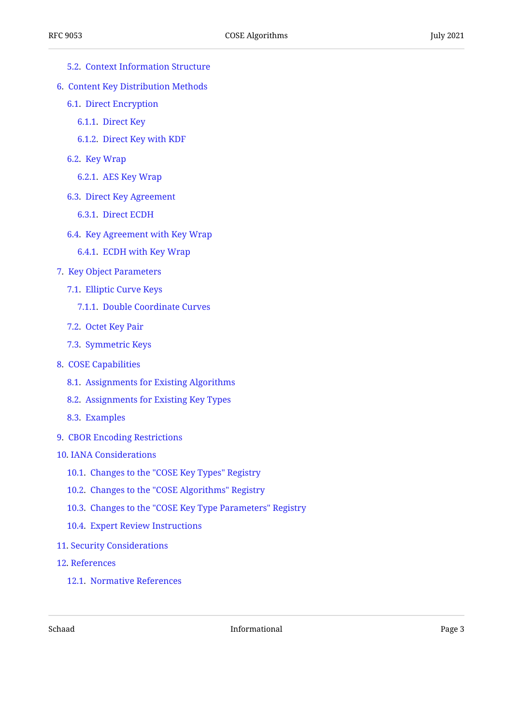- [5.2.](#page-16-0) [Context Information Structure](#page-16-0)
- [6.](#page-20-0) [Content Key Distribution Methods](#page-20-0)
	- [6.1.](#page-20-1) [Direct Encryption](#page-20-1)
		- [6.1.1.](#page-20-2) [Direct Key](#page-20-2)
		- [6.1.2.](#page-20-3) [Direct Key with KDF](#page-20-3)
	- [6.2.](#page-22-0) [Key Wrap](#page-22-0)
		- [6.2.1.](#page-22-1) [AES Key Wrap](#page-22-1)
	- [6.3.](#page-22-2) [Direct Key Agreement](#page-22-2)
		- [6.3.1.](#page-22-3) [Direct ECDH](#page-22-3)
	- [6.4.](#page-25-0) [Key Agreement with Key Wrap](#page-25-0)
		- [6.4.1.](#page-25-1) [ECDH with Key Wrap](#page-25-1)
- [7.](#page-26-0) [Key Object Parameters](#page-26-0)
	- [7.1.](#page-27-0) [Elliptic Curve Keys](#page-27-0)
		- [7.1.1.](#page-28-0) [Double Coordinate Curves](#page-28-0)
	- [7.2.](#page-29-0) [Octet Key Pair](#page-29-0)
	- [7.3.](#page-29-1) [Symmetric Keys](#page-29-1)
- [8.](#page-30-0) [COSE Capabilities](#page-30-0)
	- [8.1.](#page-31-0) [Assignments for Existing Algorithms](#page-31-0)
	- [8.2.](#page-31-1) [Assignments for Existing Key Types](#page-31-1)
	- [8.3.](#page-31-2) [Examples](#page-31-2)
- [9.](#page-33-0) [CBOR Encoding Restrictions](#page-33-0)
- [10](#page-33-1). [IANA Considerations](#page-33-1)
	- [10.1](#page-33-2). [Changes to the "COSE Key Types" Registry](#page-33-2)
	- [10.2](#page-34-0). [Changes to the "COSE Algorithms" Registry](#page-34-0)
	- [10.3](#page-34-1). [Changes to the "COSE Key Type Parameters" Registry](#page-34-1)
	- [10.4](#page-34-2). [Expert Review Instructions](#page-34-2)
- [11](#page-35-0). [Security Considerations](#page-35-0)
- [12](#page-37-0). [References](#page-37-0)
	- [12.1](#page-37-1). [Normative References](#page-37-1)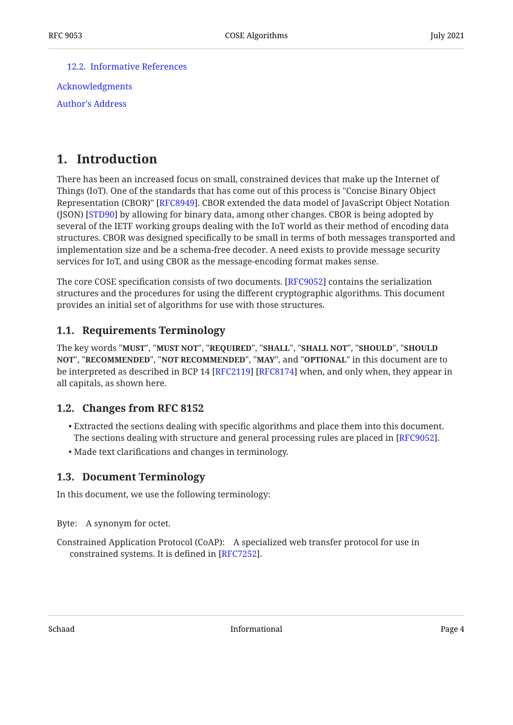[12.2](#page-38-0). [Informative References](#page-38-0)

[Acknowledgments](#page-40-0) [Author's Address](#page-40-1)

## <span id="page-3-0"></span>**[1. Introduction](#page-3-0)**

There has been an increased focus on small, constrained devices that make up the Internet of Things (IoT). One of the standards that has come out of this process is "Concise Binary Object Representation (CBOR)" [[RFC8949\]](#page-38-1). CBOR extended the data model of JavaScript Object Notation (JSON) [STD90] by allowing for binary data, among other changes. CBOR is being adopted by several of the IETF working groups dealing with the IoT world as their method of encoding data structures. CBOR was designed specifically to be small in terms of both messages transported and implementation size and be a schema-free decoder. A need exists to provide message security services for IoT, and using CBOR as the message-encoding format makes sense.

The core COSE specification consists of two documents. [RFC9052] contains the serialization structures and the procedures for using the different cryptographic algorithms. This document provides an initial set of algorithms for use with those structures.

### <span id="page-3-1"></span>**[1.1. Requirements Terminology](#page-3-1)**

The key words "MUST", "MUST NOT", "REQUIRED", "SHALL", "SHALL NOT", "SHOULD", "SHOULD <code>NOT",</code> "<code>RECOMMENDED", "NOT RECOMMENDED", "MAY", and "OPTIONAL" in this document are to</code> be interpreted as described in BCP 14 [RFC2119] [RFC8174] when, and only when, they appear in all capitals, as shown here.

### <span id="page-3-2"></span>**[1.2. Changes from RFC 8152](#page-3-2)**

- Extracted the sections dealing with specific algorithms and place them into this document. The sections dealing with structure and general processing rules are placed in [RFC9052].
- <span id="page-3-3"></span>Made text clarifications and changes in terminology. •

### **[1.3. Document Terminology](#page-3-3)**

In this document, we use the following terminology:

Byte: A synonym for octet.

Constrained Application Protocol (CoAP): A specialized web transfer protocol for use in constrained systems. It is defined in [RFC7252].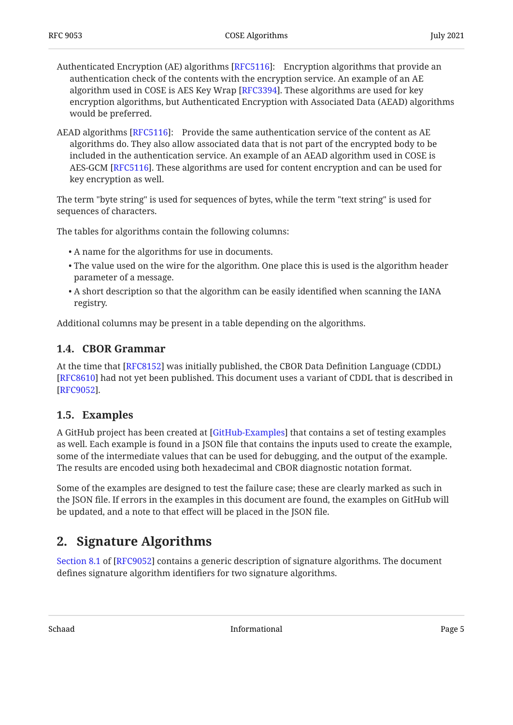- Authenticated Encryption (AE) algorithms [RFC5116]: Encryption algorithms that provide an authentication check of the contents with the encryption service. An example of an AE algorithm used in COSE is AES Key Wrap [RFC3394]. These algorithms are used for key encryption algorithms, but Authenticated Encryption with Associated Data (AEAD) algorithms would be preferred.
- AEAD algorithms [RFC5116]: Provide the same authentication service of the content as AE algorithms do. They also allow associated data that is not part of the encrypted body to be included in the authentication service. An example of an AEAD algorithm used in COSE is AES-GCM [RFC5116]. These algorithms are used for content encryption and can be used for key encryption as well.

The term "byte string" is used for sequences of bytes, while the term "text string" is used for sequences of characters.

The tables for algorithms contain the following columns:

- A name for the algorithms for use in documents. •
- $\bullet$  The value used on the wire for the algorithm. One place this is used is the algorithm header parameter of a message.
- $\bullet$  A short description so that the algorithm can be easily identified when scanning the IANA registry.

<span id="page-4-0"></span>Additional columns may be present in a table depending on the algorithms.

#### **[1.4. CBOR Grammar](#page-4-0)**

At the time that [RFC8152] was initially published, the CBOR Data Definition Language (CDDL) [[RFC8610\]](#page-39-3) had not yet been published. This document uses a variant of CDDL that is described in . [[RFC9052\]](#page-38-2)

#### <span id="page-4-1"></span>**[1.5. Examples](#page-4-1)**

A GitHub project has been created at [[GitHub-Examples\]](#page-38-4) that contains a set of testing examples as well. Each example is found in a JSON file that contains the inputs used to create the example, some of the intermediate values that can be used for debugging, and the output of the example. The results are encoded using both hexadecimal and CBOR diagnostic notation format.

Some of the examples are designed to test the failure case; these are clearly marked as such in the JSON file. If errors in the examples in this document are found, the examples on GitHub will be updated, and a note to that effect will be placed in the JSON file.

## <span id="page-4-2"></span>**[2. Signature Algorithms](#page-4-2)**

[Section 8.1](https://www.rfc-editor.org/rfc/rfc9052#section-8.1) of [\[RFC9052](#page-38-2)] contains a generic description of signature algorithms. The document defines signature algorithm identifiers for two signature algorithms.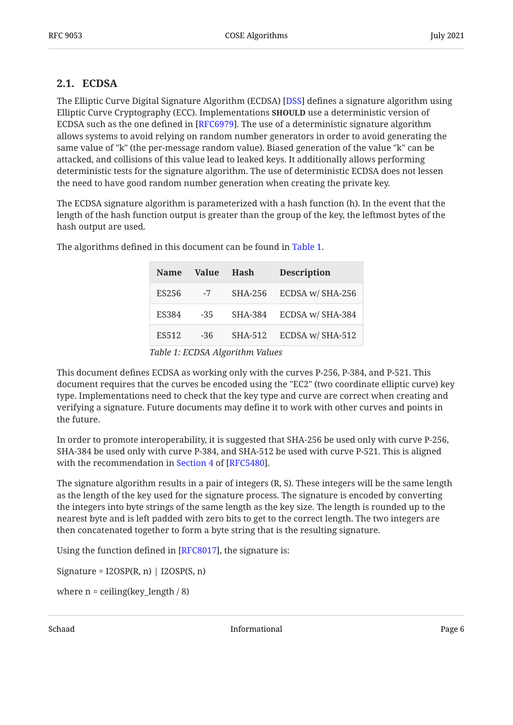#### <span id="page-5-0"></span>**[2.1. ECDSA](#page-5-0)**

The Elliptic Curve Digital Signature Algorithm (ECDSA) [DSS] defines a signature algorithm using Elliptic Curve Cryptography (ECC). Implementations **SHOULD** use a deterministic version of ECDSA such as the one defined in [RFC6979]. The use of a deterministic signature algorithm allows systems to avoid relying on random number generators in order to avoid generating the same value of "k" (the per-message random value). Biased generation of the value "k" can be attacked, and collisions of this value lead to leaked keys. It additionally allows performing deterministic tests for the signature algorithm. The use of deterministic ECDSA does not lessen the need to have good random number generation when creating the private key.

The ECDSA signature algorithm is parameterized with a hash function (h). In the event that the length of the hash function output is greater than the group of the key, the leftmost bytes of the hash output are used.

<span id="page-5-2"></span>

| Value | Hash    | <b>Description</b> |
|-------|---------|--------------------|
| $-7$  | SHA-256 | ECDSA w/ SHA-256   |
| $-35$ | SHA-384 | ECDSA w/ SHA-384   |
| $-36$ | SHA-512 | ECDSA w/ SHA-512   |
|       |         |                    |

<span id="page-5-1"></span>The algorithms defined in this document can be found in [Table 1](#page-5-1).

This document defines ECDSA as working only with the curves P-256, P-384, and P-521. This document requires that the curves be encoded using the "EC2" (two coordinate elliptic curve) key type. Implementations need to check that the key type and curve are correct when creating and verifying a signature. Future documents may define it to work with other curves and points in the future.

In order to promote interoperability, it is suggested that SHA-256 be used only with curve P-256, SHA-384 be used only with curve P-384, and SHA-512 be used with curve P-521. This is aligned withthe recommendation in Section 4 of [RFC5480].

The signature algorithm results in a pair of integers (R, S). These integers will be the same length as the length of the key used for the signature process. The signature is encoded by converting the integers into byte strings of the same length as the key size. The length is rounded up to the nearest byte and is left padded with zero bits to get to the correct length. The two integers are then concatenated together to form a byte string that is the resulting signature.

Using the function defined in [\[RFC8017](#page-38-5)], the signature is:

Signature =  $I2OSP(R, n)$  |  $I2OSP(S, n)$ 

where  $n =$  ceiling(key\_length  $/ 8$ )

*[Table 1](#page-5-2): [ECDSA Algorithm Values](#page-5-1)*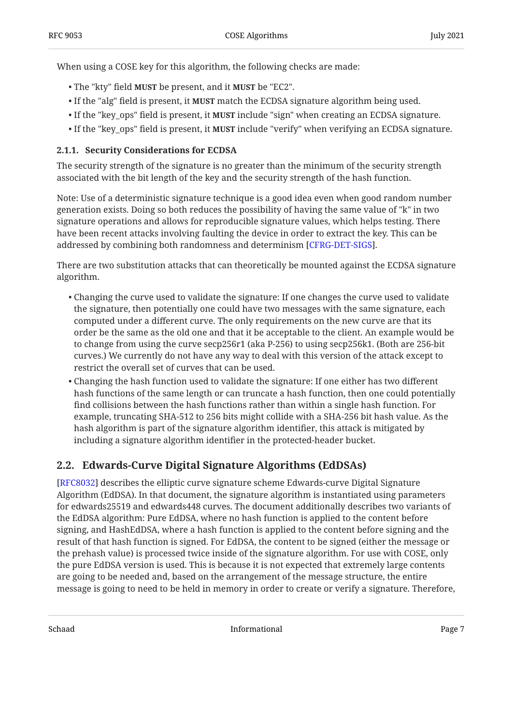When using a COSE key for this algorithm, the following checks are made:

- The "kty" field **MUST** be present, and it **MUST** be "EC2".
- $\bullet$  If the "alg" field is present, it **MUST** match the ECDSA signature algorithm being used.
- $\bullet$  If the "key\_ops" field is present, it **MUST** include "sign" when creating an ECDSA signature.
- If the "key\_ops" field is present, it **MUST** include "verify" when verifying an ECDSA signature.

#### <span id="page-6-0"></span>**[2.1.1. Security Considerations for ECDSA](#page-6-0)**

The security strength of the signature is no greater than the minimum of the security strength associated with the bit length of the key and the security strength of the hash function.

Note: Use of a deterministic signature technique is a good idea even when good random number generation exists. Doing so both reduces the possibility of having the same value of "k" in two signature operations and allows for reproducible signature values, which helps testing. There have been recent attacks involving faulting the device in order to extract the key. This can be addressed by combining both randomness and determinism [CFRG-DET-SIGS].

There are two substitution attacks that can theoretically be mounted against the ECDSA signature algorithm.

- $\bullet$  Changing the curve used to validate the signature: If one changes the curve used to validate the signature, then potentially one could have two messages with the same signature, each computed under a different curve. The only requirements on the new curve are that its order be the same as the old one and that it be acceptable to the client. An example would be to change from using the curve secp256r1 (aka P-256) to using secp256k1. (Both are 256-bit curves.) We currently do not have any way to deal with this version of the attack except to restrict the overall set of curves that can be used.
- $\bullet$  Changing the hash function used to validate the signature: If one either has two different hash functions of the same length or can truncate a hash function, then one could potentially find collisions between the hash functions rather than within a single hash function. For example, truncating SHA-512 to 256 bits might collide with a SHA-256 bit hash value. As the hash algorithm is part of the signature algorithm identifier, this attack is mitigated by including a signature algorithm identifier in the protected-header bucket.

### <span id="page-6-1"></span>**[2.2. Edwards-Curve Digital Signature Algorithms \(EdDSAs\)](#page-6-1)**

[[RFC8032\]](#page-38-7) describes the elliptic curve signature scheme Edwards-curve Digital Signature Algorithm (EdDSA). In that document, the signature algorithm is instantiated using parameters for edwards25519 and edwards448 curves. The document additionally describes two variants of the EdDSA algorithm: Pure EdDSA, where no hash function is applied to the content before signing, and HashEdDSA, where a hash function is applied to the content before signing and the result of that hash function is signed. For EdDSA, the content to be signed (either the message or the prehash value) is processed twice inside of the signature algorithm. For use with COSE, only the pure EdDSA version is used. This is because it is not expected that extremely large contents are going to be needed and, based on the arrangement of the message structure, the entire message is going to need to be held in memory in order to create or verify a signature. Therefore,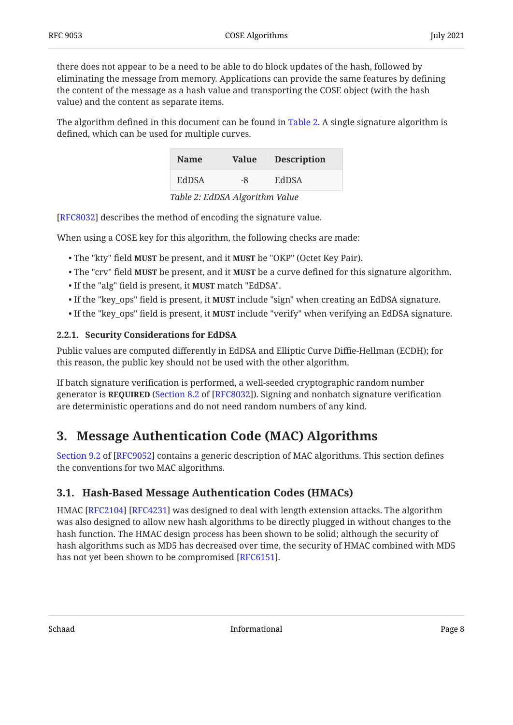there does not appear to be a need to be able to do block updates of the hash, followed by eliminating the message from memory. Applications can provide the same features by defining the content of the message as a hash value and transporting the COSE object (with the hash value) and the content as separate items.

<span id="page-7-3"></span>The algorithm defined in this document can be found in [Table 2.](#page-7-3) A single signature algorithm is defined, which can be used for multiple curves.

<span id="page-7-4"></span>

| <b>Name</b>          | <b>Value</b> | <b>Description</b> |  |  |
|----------------------|--------------|--------------------|--|--|
| <b>EdDSA</b>         | -8           | EdDSA              |  |  |
| T11.0 T1001.11.11 T1 |              |                    |  |  |

*[Table 2](#page-7-4): [EdDSA Algorithm Value](#page-7-3)* 

[[RFC8032\]](#page-38-7) describes the method of encoding the signature value.

When using a COSE key for this algorithm, the following checks are made:

- The "kty" field **MUST** be present, and it **MUST** be "OKP" (Octet Key Pair).
- $\bullet$  The "crv" field **MUST** be present, and it **MUST** be a curve defined for this signature algorithm.
- If the "alg" field is present, it **MUST** match "EdDSA".
- $\bullet$  If the "key\_ops" field is present, it **MUST** include "sign" when creating an EdDSA signature.
- If the "key\_ops" field is present, it **MUST** include "verify" when verifying an EdDSA signature.

#### <span id="page-7-0"></span>**[2.2.1. Security Considerations for EdDSA](#page-7-0)**

Public values are computed differently in EdDSA and Elliptic Curve Diffie-Hellman (ECDH); for this reason, the public key should not be used with the other algorithm.

If batch signature verification is performed, a well-seeded cryptographic random number generator is **REQUIRED** ([Section 8.2](https://www.rfc-editor.org/rfc/rfc8032#section-8.2) of [[RFC8032\]](#page-38-7)). Signing and nonbatch signature verification are deterministic operations and do not need random numbers of any kind.

## <span id="page-7-1"></span>**[3. Message Authentication Code \(MAC\) Algorithms](#page-7-1)**

[Section 9.2](https://www.rfc-editor.org/rfc/rfc9052#section-9.2) of [\[RFC9052](#page-38-2)] contains a generic description of MAC algorithms. This section defines the conventions for two MAC algorithms.

#### <span id="page-7-2"></span>**[3.1. Hash-Based Message Authentication Codes \(HMACs\)](#page-7-2)**

HMAC [RFC2104] [RFC4231] was designed to deal with length extension attacks. The algorithm was also designed to allow new hash algorithms to be directly plugged in without changes to the hash function. The HMAC design process has been shown to be solid; although the security of hash algorithms such as MD5 has decreased over time, the security of HMAC combined with MD5 has not yet been shown to be compromised [RFC6151].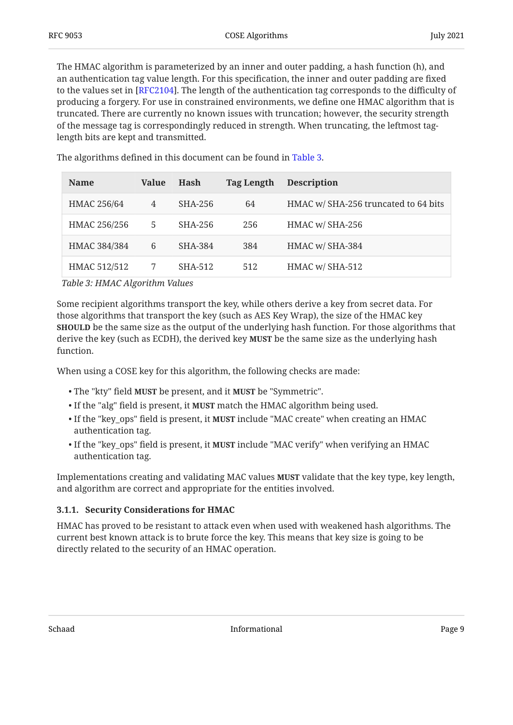The HMAC algorithm is parameterized by an inner and outer padding, a hash function (h), and an authentication tag value length. For this specification, the inner and outer padding are fixed to the values set in [RFC2104]. The length of the authentication tag corresponds to the difficulty of producing a forgery. For use in constrained environments, we define one HMAC algorithm that is truncated. There are currently no known issues with truncation; however, the security strength of the message tag is correspondingly reduced in strength. When truncating, the leftmost taglength bits are kept and transmitted.

<span id="page-8-2"></span><span id="page-8-1"></span>

| <b>Name</b>  | Value | <b>Hash</b> | <b>Tag Length</b> | <b>Description</b>                   |
|--------------|-------|-------------|-------------------|--------------------------------------|
| HMAC 256/64  | 4     | SHA-256     | 64                | HMAC w/ SHA-256 truncated to 64 bits |
| HMAC 256/256 | 5     | SHA-256     | 256               | HMAC w/ SHA-256                      |
| HMAC 384/384 | 6     | SHA-384     | 384               | HMAC w/ SHA-384                      |
| HMAC 512/512 |       | SHA-512     | 512               | HMAC w/ SHA-512                      |

The algorithms defined in this document can be found in [Table 3](#page-8-1).

*[Table 3:](#page-8-2) [HMAC Algorithm Values](#page-8-1)* 

Some recipient algorithms transport the key, while others derive a key from secret data. For those algorithms that transport the key (such as AES Key Wrap), the size of the HMAC key **SHOULD** be the same size as the output of the underlying hash function. For those algorithms that derive the key (such as ECDH), the derived key **MUST** be the same size as the underlying hash function.

When using a COSE key for this algorithm, the following checks are made:

- The "kty" field **MUST** be present, and it **MUST** be "Symmetric".
- If the "alg" field is present, it MUST match the HMAC algorithm being used.
- If the "key\_ops" field is present, it **MUST** include "MAC create" when creating an HMAC authentication tag.
- If the "key\_ops" field is present, it **MUST** include "MAC verify" when verifying an HMAC authentication tag.

Implementations creating and validating MAC values **MUST** validate that the key type, key length, and algorithm are correct and appropriate for the entities involved.

#### <span id="page-8-0"></span>**[3.1.1. Security Considerations for HMAC](#page-8-0)**

HMAC has proved to be resistant to attack even when used with weakened hash algorithms. The current best known attack is to brute force the key. This means that key size is going to be directly related to the security of an HMAC operation.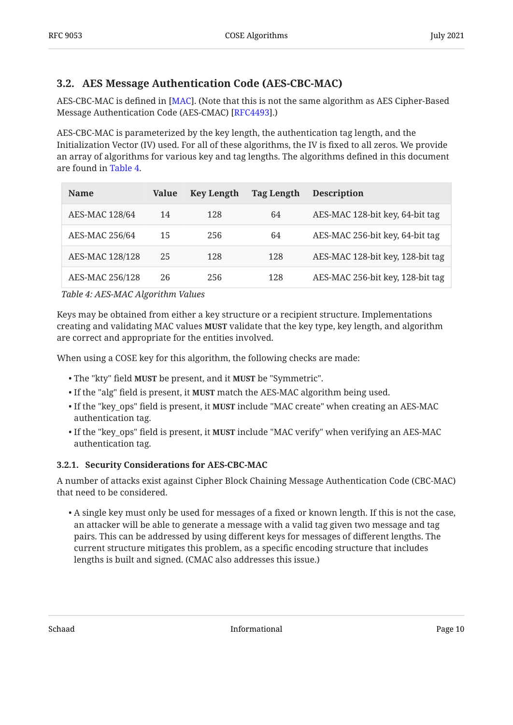### <span id="page-9-0"></span>**[3.2. AES Message Authentication Code \(AES-CBC-MAC\)](#page-9-0)**

<code>AES-CBC-MAC</code> is defined in [MAC]. (Note that this is not the same algorithm as AES Cipher-Based Message Authentication Code (AES-CMAC) [RFC4493].)

AES-CBC-MAC is parameterized by the key length, the authentication tag length, and the Initialization Vector (IV) used. For all of these algorithms, the IV is fixed to all zeros. We provide an array of algorithms for various key and tag lengths. The algorithms defined in this document are found in [Table 4](#page-9-2).

<span id="page-9-3"></span><span id="page-9-2"></span>

| <b>Name</b>           | Value | <b>Key Length</b> | <b>Tag Length</b> | <b>Description</b>               |
|-----------------------|-------|-------------------|-------------------|----------------------------------|
| <b>AES-MAC 128/64</b> | 14    | 128               | 64                | AES-MAC 128-bit key, 64-bit tag  |
| AES-MAC 256/64        | 15    | 256               | 64                | AES-MAC 256-bit key, 64-bit tag  |
| AES-MAC 128/128       | 25    | 128               | 128               | AES-MAC 128-bit key, 128-bit tag |
| AES-MAC 256/128       | 26    | 256               | 128               | AES-MAC 256-bit key, 128-bit tag |

*[Table 4](#page-9-3): [AES-MAC Algorithm Values](#page-9-2)* 

Keys may be obtained from either a key structure or a recipient structure. Implementations creating and validating MAC values **MUST** validate that the key type, key length, and algorithm are correct and appropriate for the entities involved.

When using a COSE key for this algorithm, the following checks are made:

- The "kty" field MUST be present, and it MUST be "Symmetric".
- If the "alg" field is present, it **MUST** match the AES-MAC algorithm being used.
- If the "key\_ops" field is present, it **MUST** include "MAC create" when creating an AES-MAC authentication tag.
- If the "key\_ops" field is present, it **MUST** include "MAC verify" when verifying an AES-MAC authentication tag.

#### <span id="page-9-1"></span>**[3.2.1. Security Considerations for AES-CBC-MAC](#page-9-1)**

A number of attacks exist against Cipher Block Chaining Message Authentication Code (CBC-MAC) that need to be considered.

A single key must only be used for messages of a fixed or known length. If this is not the case, • an attacker will be able to generate a message with a valid tag given two message and tag pairs. This can be addressed by using different keys for messages of different lengths. The current structure mitigates this problem, as a specific encoding structure that includes lengths is built and signed. (CMAC also addresses this issue.)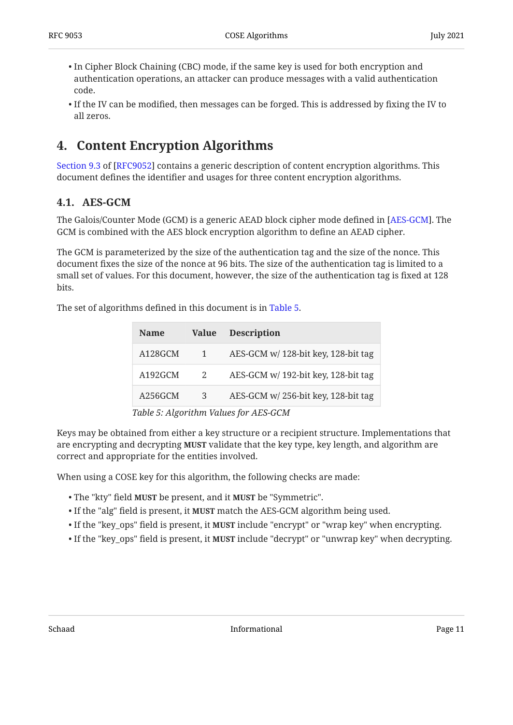- $\bullet$  In Cipher Block Chaining (CBC) mode, if the same key is used for both encryption and authentication operations, an attacker can produce messages with a valid authentication code.
- $\bullet$  If the IV can be modified, then messages can be forged. This is addressed by fixing the IV to all zeros.

## <span id="page-10-0"></span>**[4. Content Encryption Algorithms](#page-10-0)**

[Section 9.3](https://www.rfc-editor.org/rfc/rfc9052#section-9.3) of [\[RFC9052](#page-38-2)] contains a generic description of content encryption algorithms. This document defines the identifier and usages for three content encryption algorithms.

### <span id="page-10-1"></span>**[4.1. AES-GCM](#page-10-1)**

The Galois/Counter Mode (GCM) is a generic AEAD block cipher mode defined in [AES-GCM]. The GCM is combined with the AES block encryption algorithm to define an AEAD cipher.

The GCM is parameterized by the size of the authentication tag and the size of the nonce. This document fixes the size of the nonce at 96 bits. The size of the authentication tag is limited to a small set of values. For this document, however, the size of the authentication tag is fixed at 128 bits.

<span id="page-10-2"></span>The set of algorithms defined in this document is in [Table 5](#page-10-2).

<span id="page-10-3"></span>

| <b>Name</b>                               | <b>Value</b> | <b>Description</b>                  |  |  |
|-------------------------------------------|--------------|-------------------------------------|--|--|
| A128GCM                                   | $\mathbf{1}$ | AES-GCM w/ 128-bit key, 128-bit tag |  |  |
| A192GCM                                   | 2            | AES-GCM w/ 192-bit key, 128-bit tag |  |  |
| A256GCM                                   | 3            | AES-GCM w/256-bit key, 128-bit tag  |  |  |
| $Table 5.$ Algorithm $Values$ for AFC CCM |              |                                     |  |  |

*[Table 5](#page-10-3): [Algorithm Values for AES-GCM](#page-10-2)* 

Keys may be obtained from either a key structure or a recipient structure. Implementations that are encrypting and decrypting **MUST** validate that the key type, key length, and algorithm are correct and appropriate for the entities involved.

When using a COSE key for this algorithm, the following checks are made:

- The "kty" field **MUST** be present, and it **MUST** be "Symmetric".
- If the "alg" field is present, it **MUST** match the AES-GCM algorithm being used.
- If the "key\_ops" field is present, it **MUST** include "encrypt" or "wrap key" when encrypting.
- If the "key\_ops" field is present, it **MUST** include "decrypt" or "unwrap key" when decrypting.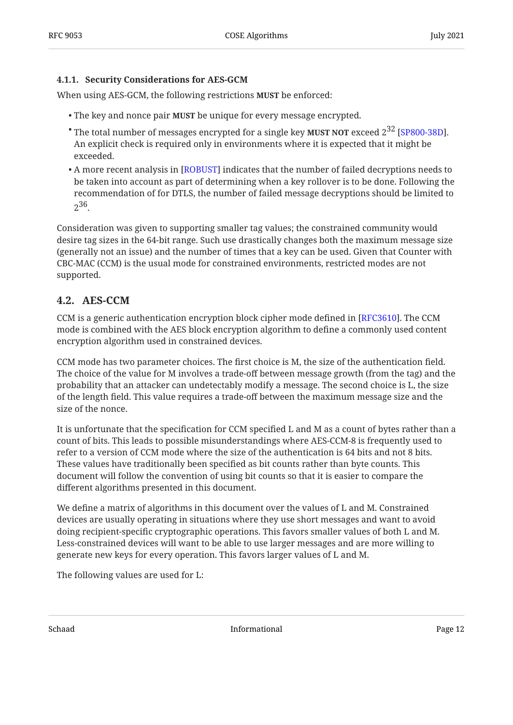#### <span id="page-11-0"></span>**[4.1.1. Security Considerations for AES-GCM](#page-11-0)**

When using AES-GCM, the following restrictions **MUST** be enforced:

- The key and nonce pair **MUST** be unique for every message encrypted.
- $^{\bullet}$  The total number of messages encrypted for a single key **MUST NOT** exceed 2 $^{32}$  [SP800-38D]. An explicit check is required only in environments where it is expected that it might be exceeded.
- $\bullet$  A more recent analysis in [ROBUST] indicates that the number of failed decryptions needs to be taken into account as part of determining when a key rollover is to be done. Following the recommendation of for DTLS, the number of failed message decryptions should be limited to 236.

Consideration was given to supporting smaller tag values; the constrained community would desire tag sizes in the 64-bit range. Such use drastically changes both the maximum message size (generally not an issue) and the number of times that a key can be used. Given that Counter with CBC-MAC (CCM) is the usual mode for constrained environments, restricted modes are not supported.

### <span id="page-11-1"></span>**[4.2. AES-CCM](#page-11-1)**

CCM is a generic authentication encryption block cipher mode defined in [RFC3610]. The CCM mode is combined with the AES block encryption algorithm to define a commonly used content encryption algorithm used in constrained devices.

CCM mode has two parameter choices. The first choice is M, the size of the authentication field. The choice of the value for M involves a trade-off between message growth (from the tag) and the probability that an attacker can undetectably modify a message. The second choice is L, the size of the length field. This value requires a trade-off between the maximum message size and the size of the nonce.

It is unfortunate that the specification for CCM specified L and M as a count of bytes rather than a count of bits. This leads to possible misunderstandings where AES-CCM-8 is frequently used to refer to a version of CCM mode where the size of the authentication is 64 bits and not 8 bits. These values have traditionally been specified as bit counts rather than byte counts. This document will follow the convention of using bit counts so that it is easier to compare the different algorithms presented in this document.

We define a matrix of algorithms in this document over the values of L and M. Constrained devices are usually operating in situations where they use short messages and want to avoid doing recipient-specific cryptographic operations. This favors smaller values of both L and M. Less-constrained devices will want to be able to use larger messages and are more willing to generate new keys for every operation. This favors larger values of L and M.

The following values are used for L: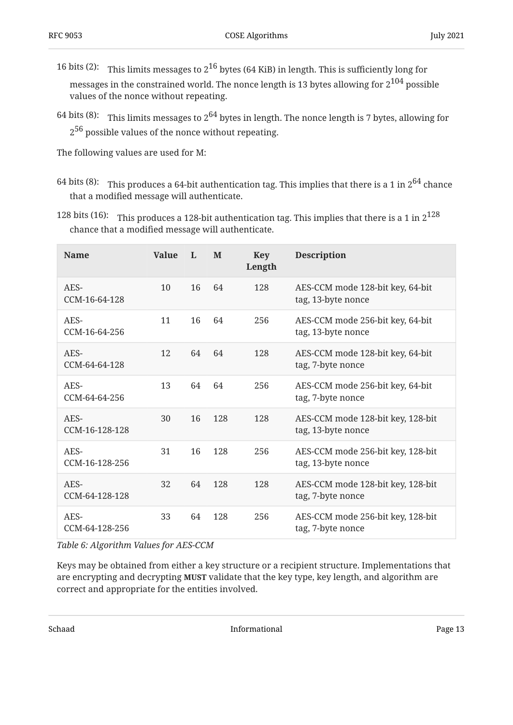- 16 bits (2): This limits messages to  $2^{16}$  bytes (64 KiB) in length. This is sufficiently long for messages in the constrained world. The nonce length is 13 bytes allowing for  $2^{104}$  possible values of the nonce without repeating.
- 64 bits (8): This limits messages to 2 $^{64}$  bytes in length. The nonce length is 7 bytes, allowing for  $2^{56}$  possible values of the nonce without repeating.

The following values are used for M:

- 64 bits (8): This produces a 64-bit authentication tag. This implies that there is a 1 in  $2^{64}$  chance that a modified message will authenticate.
- 128 bits (16):  $\;$  This produces a 128-bit authentication tag. This implies that there is a 1 in  $2^{128}$ chance that a modified message will authenticate.

<span id="page-12-0"></span>

| <b>Name</b>            | <b>Value</b> | $\mathbf{I}$ | M   | <b>Key</b><br>Length | <b>Description</b>                                      |
|------------------------|--------------|--------------|-----|----------------------|---------------------------------------------------------|
| AES-<br>CCM-16-64-128  | 10           | 16           | 64  | 128                  | AES-CCM mode 128-bit key, 64-bit<br>tag, 13-byte nonce  |
| AES-<br>CCM-16-64-256  | 11           | 16           | 64  | 256                  | AES-CCM mode 256-bit key, 64-bit<br>tag, 13-byte nonce  |
| AES-<br>CCM-64-64-128  | 12           | 64           | 64  | 128                  | AES-CCM mode 128-bit key, 64-bit<br>tag, 7-byte nonce   |
| AES-<br>CCM-64-64-256  | 13           | 64           | 64  | 256                  | AES-CCM mode 256-bit key, 64-bit<br>tag, 7-byte nonce   |
| AES-<br>CCM-16-128-128 | 30           | 16           | 128 | 128                  | AES-CCM mode 128-bit key, 128-bit<br>tag, 13-byte nonce |
| AES-<br>CCM-16-128-256 | 31           | 16           | 128 | 256                  | AES-CCM mode 256-bit key, 128-bit<br>tag, 13-byte nonce |
| AES-<br>CCM-64-128-128 | 32           | 64           | 128 | 128                  | AES-CCM mode 128-bit key, 128-bit<br>tag, 7-byte nonce  |
| AES-<br>CCM-64-128-256 | 33           | 64           | 128 | 256                  | AES-CCM mode 256-bit key, 128-bit<br>tag, 7-byte nonce  |

*[Table 6](#page-12-0): [Algorithm Values for AES-CCM](#page-12-0)* 

Keys may be obtained from either a key structure or a recipient structure. Implementations that are encrypting and decrypting **MUST** validate that the key type, key length, and algorithm are correct and appropriate for the entities involved.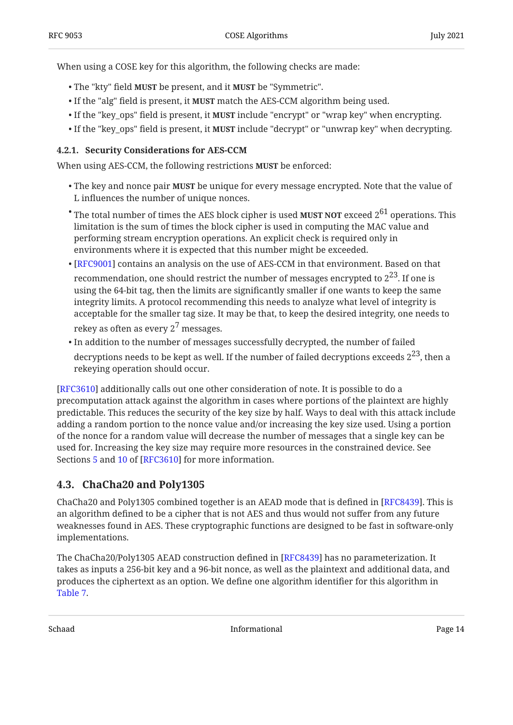When using a COSE key for this algorithm, the following checks are made:

- The "kty" field **MUST** be present, and it **MUST** be "Symmetric".
- If the "alg" field is present, it **MUST** match the AES-CCM algorithm being used.
- If the "key\_ops" field is present, it **MUST** include "encrypt" or "wrap key" when encrypting.
- If the "key\_ops" field is present, it **MUST** include "decrypt" or "unwrap key" when decrypting.

#### <span id="page-13-0"></span>**[4.2.1. Security Considerations for AES-CCM](#page-13-0)**

When using AES-CCM, the following restrictions **MUST** be enforced:

- The key and nonce pair **MUST** be unique for every message encrypted. Note that the value of L influences the number of unique nonces.
- $^{\bullet}$  The total number of times the AES block cipher is used **MUST NOT** exceed  $2^{61}$  operations. This limitation is the sum of times the block cipher is used in computing the MAC value and performing stream encryption operations. An explicit check is required only in environments where it is expected that this number might be exceeded.
- $\bullet$  [[RFC9001\]](#page-39-7) contains an analysis on the use of AES-CCM in that environment. Based on that recommendation, one should restrict the number of messages encrypted to  $2^{23}$ . If one is using the 64-bit tag, then the limits are significantly smaller if one wants to keep the same integrity limits. A protocol recommending this needs to analyze what level of integrity is acceptable for the smaller tag size. It may be that, to keep the desired integrity, one needs to rekey as often as every  $2^7$  messages.
- $\bullet$  In addition to the number of messages successfully decrypted, the number of failed decryptions needs to be kept as well. If the number of failed decryptions exceeds  $2^{23}$ , then a rekeying operation should occur.

[[RFC3610\]](#page-37-9) additionally calls out one other consideration of note. It is possible to do a precomputation attack against the algorithm in cases where portions of the plaintext are highly predictable. This reduces the security of the key size by half. Ways to deal with this attack include adding a random portion to the nonce value and/or increasing the key size used. Using a portion of the nonce for a random value will decrease the number of messages that a single key can be used for. Increasing the key size may require more resources in the constrained device. See Sections [5](https://www.rfc-editor.org/rfc/rfc3610#section-5) and [10](https://www.rfc-editor.org/rfc/rfc3610#section-10) of [RFC3610] for more information.

### <span id="page-13-1"></span>**[4.3. ChaCha20 and Poly1305](#page-13-1)**

ChaCha20 and Poly1305 combined together is an AEAD mode that is defined in [RFC8439]. This is an algorithm defined to be a cipher that is not AES and thus would not suffer from any future weaknesses found in AES. These cryptographic functions are designed to be fast in software-only implementations.

The ChaCha20/Poly1305 AEAD construction defined in [RFC8439] has no parameterization. It takes as inputs a 256-bit key and a 96-bit nonce, as well as the plaintext and additional data, and produces the ciphertext as an option. We define one algorithm identifier for this algorithm in [Table 7](#page-14-3).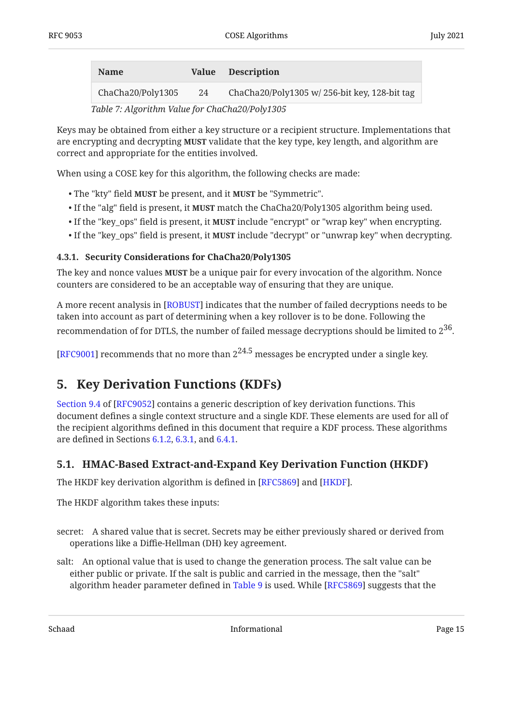<span id="page-14-4"></span><span id="page-14-3"></span>

| <b>Name</b>       |    | Value Description                            |
|-------------------|----|----------------------------------------------|
| ChaCha20/Poly1305 | 24 | ChaCha20/Poly1305 w/256-bit key, 128-bit tag |

*[Table 7](#page-14-4): [Algorithm Value for ChaCha20/Poly1305](#page-14-3)* 

Keys may be obtained from either a key structure or a recipient structure. Implementations that are encrypting and decrypting **MUST** validate that the key type, key length, and algorithm are correct and appropriate for the entities involved.

When using a COSE key for this algorithm, the following checks are made:

- The "kty" field **MUST** be present, and it **MUST** be "Symmetric".
- If the "alg" field is present, it **MUST** match the ChaCha20/Poly1305 algorithm being used.
- If the "key\_ops" field is present, it **MUST** include "encrypt" or "wrap key" when encrypting.
- If the "key\_ops" field is present, it **MUST** include "decrypt" or "unwrap key" when decrypting.

#### <span id="page-14-0"></span>**[4.3.1. Security Considerations for ChaCha20/Poly1305](#page-14-0)**

The key and nonce values **MUST** be a unique pair for every invocation of the algorithm. Nonce counters are considered to be an acceptable way of ensuring that they are unique.

A more recent analysis in [ROBUST] indicates that the number of failed decryptions needs to be taken into account as part of determining when a key rollover is to be done. Following the recommendation of for DTLS, the number of failed message decryptions should be limited to  $2^{36}$ .

<span id="page-14-1"></span>[[RFC9001\]](#page-39-7) recommends that no more than  $2^{24.5}$  messages be encrypted under a single key.

## **[5. Key Derivation Functions \(KDFs\)](#page-14-1)**

[Section 9.4](https://www.rfc-editor.org/rfc/rfc9052#section-9.4) of [\[RFC9052](#page-38-2)] contains a generic description of key derivation functions. This document defines a single context structure and a single KDF. These elements are used for all of the recipient algorithms defined in this document that require a KDF process. These algorithms are defined in Sections [6.1.2,](#page-20-3) [6.3.1,](#page-22-3) and [6.4.1](#page-25-1).

#### <span id="page-14-2"></span>**[5.1. HMAC-Based Extract-and-Expand Key Derivation Function \(HKDF\)](#page-14-2)**

The HKDF key derivation algorithm is defined in [RFC5869] and [HKDF].

The HKDF algorithm takes these inputs:

- secret: A shared value that is secret. Secrets may be either previously shared or derived from operations like a Diffie-Hellman (DH) key agreement.
- salt: An optional value that is used to change the generation process. The salt value can be either public or private. If the salt is public and carried in the message, then the "salt" algorithm header parameter defined in [Table 9](#page-16-1) is used. While [RFC5869] suggests that the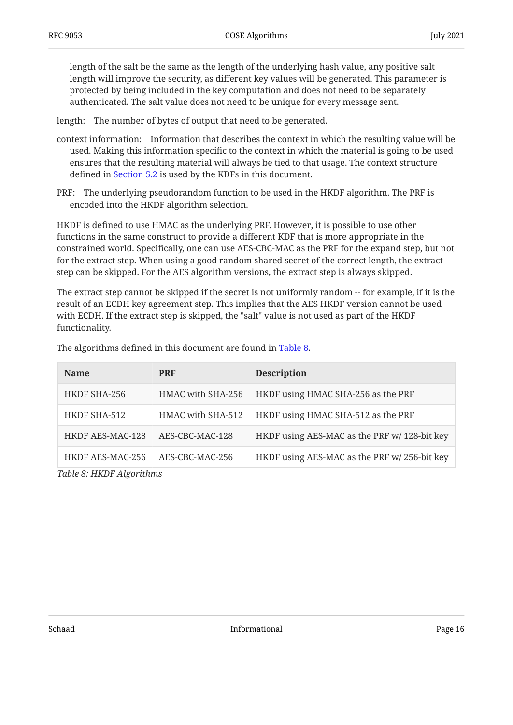length of the salt be the same as the length of the underlying hash value, any positive salt length will improve the security, as different key values will be generated. This parameter is protected by being included in the key computation and does not need to be separately authenticated. The salt value does not need to be unique for every message sent.

length: The number of bytes of output that need to be generated.

- context information: Information that describes the context in which the resulting value will be used. Making this information specific to the context in which the material is going to be used ensures that the resulting material will always be tied to that usage. The context structure defined in [Section 5.2](#page-16-0) is used by the KDFs in this document.
- PRF: The underlying pseudorandom function to be used in the HKDF algorithm. The PRF is encoded into the HKDF algorithm selection.

HKDF is defined to use HMAC as the underlying PRF. However, it is possible to use other functions in the same construct to provide a different KDF that is more appropriate in the constrained world. Specifically, one can use AES-CBC-MAC as the PRF for the expand step, but not for the extract step. When using a good random shared secret of the correct length, the extract step can be skipped. For the AES algorithm versions, the extract step is always skipped.

The extract step cannot be skipped if the secret is not uniformly random -- for example, if it is the result of an ECDH key agreement step. This implies that the AES HKDF version cannot be used with ECDH. If the extract step is skipped, the "salt" value is not used as part of the HKDF functionality.

<span id="page-15-0"></span>

| <b>Name</b>              | <b>PRF</b>        | <b>Description</b>                           |  |  |
|--------------------------|-------------------|----------------------------------------------|--|--|
| HKDF SHA-256             | HMAC with SHA-256 | HKDF using HMAC SHA-256 as the PRF           |  |  |
| HKDF SHA-512             | HMAC with SHA-512 | HKDF using HMAC SHA-512 as the PRF           |  |  |
| <b>HKDF AES-MAC-128</b>  | AES-CBC-MAC-128   | HKDF using AES-MAC as the PRF w/ 128-bit key |  |  |
| HKDF AES-MAC-256         | AES-CBC-MAC-256   | HKDF using AES-MAC as the PRF w/256-bit key  |  |  |
| Table 8: HKDF Algorithms |                   |                                              |  |  |

The algorithms defined in this document are found in [Table 8.](#page-15-0)

Schaad Page 16 and Page 16 and Page 16 and Page 16 and Page 16 and Page 16 and Page 16 and Page 16 and Page 16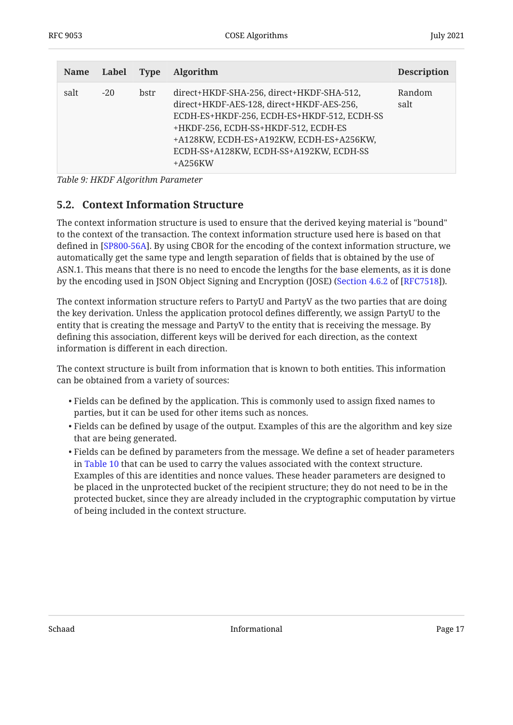<span id="page-16-1"></span>

| <b>Name</b> | Label Type |      | <b>Algorithm</b>                                                                                                                                                                                                                                                                  | <b>Description</b> |
|-------------|------------|------|-----------------------------------------------------------------------------------------------------------------------------------------------------------------------------------------------------------------------------------------------------------------------------------|--------------------|
| salt        | $-20$      | bstr | direct+HKDF-SHA-256, direct+HKDF-SHA-512,<br>direct+HKDF-AES-128, direct+HKDF-AES-256,<br>ECDH-ES+HKDF-256, ECDH-ES+HKDF-512, ECDH-SS<br>+HKDF-256, ECDH-SS+HKDF-512, ECDH-ES<br>+A128KW, ECDH-ES+A192KW, ECDH-ES+A256KW,<br>ECDH-SS+A128KW, ECDH-SS+A192KW, ECDH-SS<br>$+A256KW$ | Random<br>salt     |

<span id="page-16-0"></span>*[Table 9](#page-16-1): [HKDF Algorithm Parameter](#page-16-1)* 

#### **[5.2. Context Information Structure](#page-16-0)**

The context information structure is used to ensure that the derived keying material is "bound" to the context of the transaction. The context information structure used here is based on that defined in [SP800-56A]. By using CBOR for the encoding of the context information structure, we automatically get the same type and length separation of fields that is obtained by the use of ASN.1. This means that there is no need to encode the lengths for the base elements, as it is done by the encoding used in JSON Object Signing and Encryption (JOSE) ([Section 4.6.2](https://www.rfc-editor.org/rfc/rfc7518#section-4.6.2) of [\[RFC7518](#page-39-8)]).

The context information structure refers to PartyU and PartyV as the two parties that are doing the key derivation. Unless the application protocol defines differently, we assign PartyU to the entity that is creating the message and PartyV to the entity that is receiving the message. By defining this association, different keys will be derived for each direction, as the context information is different in each direction.

The context structure is built from information that is known to both entities. This information can be obtained from a variety of sources:

- $\bullet$  Fields can be defined by the application. This is commonly used to assign fixed names to parties, but it can be used for other items such as nonces.
- $\bullet$  Fields can be defined by usage of the output. Examples of this are the algorithm and key size that are being generated.
- $\bullet$  Fields can be defined by parameters from the message. We define a set of header parameters in [Table 10](#page-17-0) that can be used to carry the values associated with the context structure. Examples of this are identities and nonce values. These header parameters are designed to be placed in the unprotected bucket of the recipient structure; they do not need to be in the protected bucket, since they are already included in the cryptographic computation by virtue of being included in the context structure.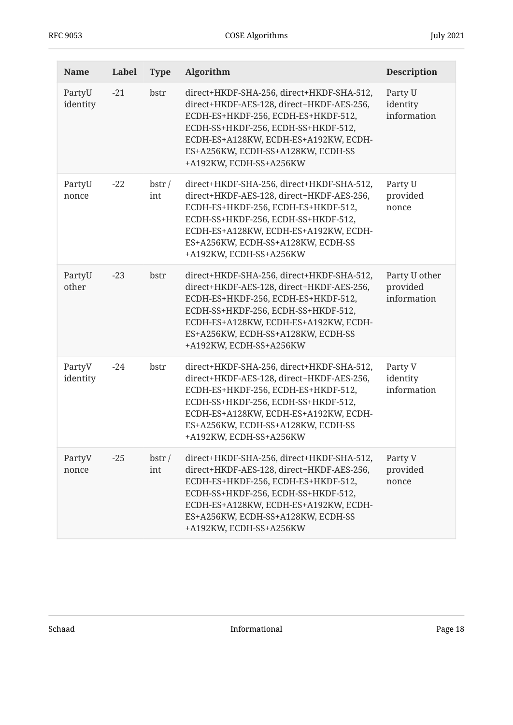<span id="page-17-0"></span>

| <b>Name</b>        | Label | <b>Type</b>  | Algorithm                                                                                                                                                                                                                                                                      | <b>Description</b>                       |
|--------------------|-------|--------------|--------------------------------------------------------------------------------------------------------------------------------------------------------------------------------------------------------------------------------------------------------------------------------|------------------------------------------|
| PartyU<br>identity | $-21$ | bstr         | direct+HKDF-SHA-256, direct+HKDF-SHA-512,<br>direct+HKDF-AES-128, direct+HKDF-AES-256,<br>ECDH-ES+HKDF-256, ECDH-ES+HKDF-512,<br>ECDH-SS+HKDF-256, ECDH-SS+HKDF-512,<br>ECDH-ES+A128KW, ECDH-ES+A192KW, ECDH-<br>ES+A256KW, ECDH-SS+A128KW, ECDH-SS<br>+A192KW, ECDH-SS+A256KW | Party U<br>identity<br>information       |
| PartyU<br>nonce    | $-22$ | bstr/<br>int | direct+HKDF-SHA-256, direct+HKDF-SHA-512,<br>direct+HKDF-AES-128, direct+HKDF-AES-256,<br>ECDH-ES+HKDF-256, ECDH-ES+HKDF-512,<br>ECDH-SS+HKDF-256, ECDH-SS+HKDF-512,<br>ECDH-ES+A128KW, ECDH-ES+A192KW, ECDH-<br>ES+A256KW, ECDH-SS+A128KW, ECDH-SS<br>+A192KW, ECDH-SS+A256KW | Party U<br>provided<br>nonce             |
| PartyU<br>other    | $-23$ | bstr         | direct+HKDF-SHA-256, direct+HKDF-SHA-512,<br>direct+HKDF-AES-128, direct+HKDF-AES-256,<br>ECDH-ES+HKDF-256, ECDH-ES+HKDF-512,<br>ECDH-SS+HKDF-256, ECDH-SS+HKDF-512,<br>ECDH-ES+A128KW, ECDH-ES+A192KW, ECDH-<br>ES+A256KW, ECDH-SS+A128KW, ECDH-SS<br>+A192KW, ECDH-SS+A256KW | Party U other<br>provided<br>information |
| PartyV<br>identity | $-24$ | bstr         | direct+HKDF-SHA-256, direct+HKDF-SHA-512,<br>direct+HKDF-AES-128, direct+HKDF-AES-256,<br>ECDH-ES+HKDF-256, ECDH-ES+HKDF-512,<br>ECDH-SS+HKDF-256, ECDH-SS+HKDF-512,<br>ECDH-ES+A128KW, ECDH-ES+A192KW, ECDH-<br>ES+A256KW, ECDH-SS+A128KW, ECDH-SS<br>+A192KW, ECDH-SS+A256KW | Party V<br>identity<br>information       |
| PartyV<br>nonce    | $-25$ | bstr/<br>int | direct+HKDF-SHA-256, direct+HKDF-SHA-512,<br>direct+HKDF-AES-128, direct+HKDF-AES-256,<br>ECDH-ES+HKDF-256, ECDH-ES+HKDF-512,<br>ECDH-SS+HKDF-256, ECDH-SS+HKDF-512,<br>ECDH-ES+A128KW, ECDH-ES+A192KW, ECDH-<br>ES+A256KW, ECDH-SS+A128KW, ECDH-SS<br>+A192KW, ECDH-SS+A256KW | Party V<br>provided<br>nonce             |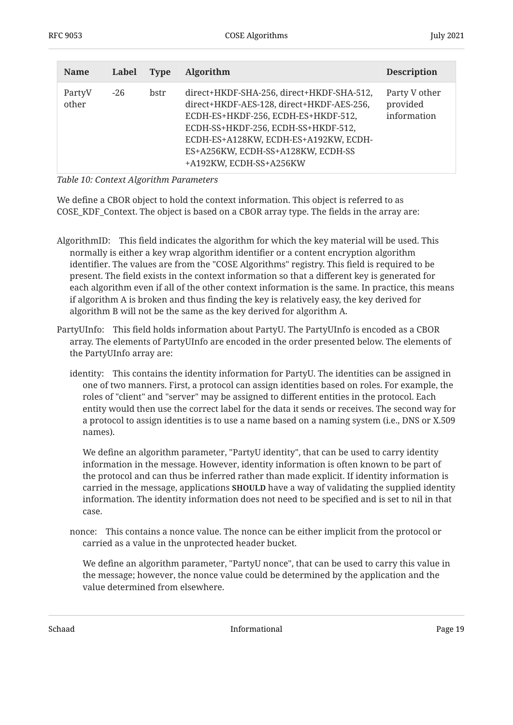| <b>Name</b>     | Label | <b>Type</b> | Algorithm                                                                                                                                                                                                                                                                      | <b>Description</b>                       |
|-----------------|-------|-------------|--------------------------------------------------------------------------------------------------------------------------------------------------------------------------------------------------------------------------------------------------------------------------------|------------------------------------------|
| PartyV<br>other | $-26$ | bstr        | direct+HKDF-SHA-256, direct+HKDF-SHA-512,<br>direct+HKDF-AES-128, direct+HKDF-AES-256,<br>ECDH-ES+HKDF-256, ECDH-ES+HKDF-512,<br>ECDH-SS+HKDF-256, ECDH-SS+HKDF-512,<br>ECDH-ES+A128KW, ECDH-ES+A192KW, ECDH-<br>ES+A256KW, ECDH-SS+A128KW, ECDH-SS<br>+A192KW, ECDH-SS+A256KW | Party V other<br>provided<br>information |

*[Table 10: Context Algorithm Parameters](#page-17-0)* 

We define a CBOR object to hold the context information. This object is referred to as COSE\_KDF\_Context. The object is based on a CBOR array type. The fields in the array are:

- AlgorithmID: This field indicates the algorithm for which the key material will be used. This normally is either a key wrap algorithm identifier or a content encryption algorithm identifier. The values are from the "COSE Algorithms" registry. This field is required to be present. The field exists in the context information so that a different key is generated for each algorithm even if all of the other context information is the same. In practice, this means if algorithm A is broken and thus finding the key is relatively easy, the key derived for algorithm B will not be the same as the key derived for algorithm A.
- PartyUInfo: This field holds information about PartyU. The PartyUInfo is encoded as a CBOR array. The elements of PartyUInfo are encoded in the order presented below. The elements of the PartyUInfo array are:
	- identity: This contains the identity information for PartyU. The identities can be assigned in one of two manners. First, a protocol can assign identities based on roles. For example, the roles of "client" and "server" may be assigned to different entities in the protocol. Each entity would then use the correct label for the data it sends or receives. The second way for a protocol to assign identities is to use a name based on a naming system (i.e., DNS or X.509 names).

We define an algorithm parameter, "PartyU identity", that can be used to carry identity information in the message. However, identity information is often known to be part of the protocol and can thus be inferred rather than made explicit. If identity information is carried in the message, applications **SHOULD** have a way of validating the supplied identity information. The identity information does not need to be specified and is set to nil in that case.

nonce: This contains a nonce value. The nonce can be either implicit from the protocol or carried as a value in the unprotected header bucket.

We define an algorithm parameter, "PartyU nonce", that can be used to carry this value in the message; however, the nonce value could be determined by the application and the value determined from elsewhere.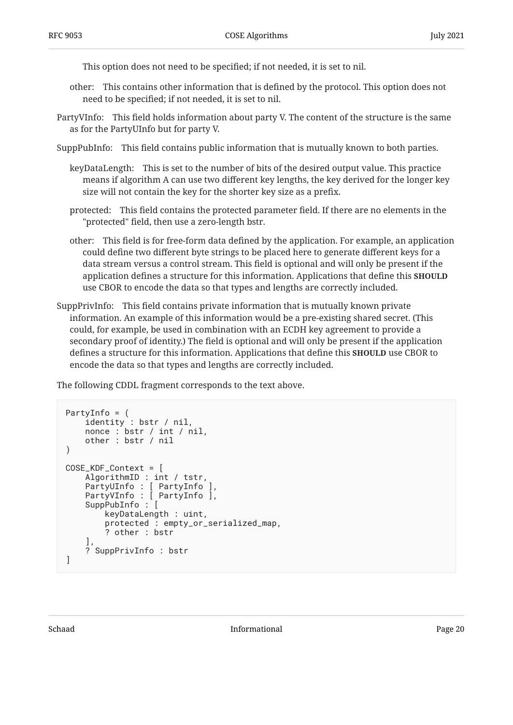This option does not need to be specified; if not needed, it is set to nil.

- other: This contains other information that is defined by the protocol. This option does not need to be specified; if not needed, it is set to nil.
- PartyVInfo: This field holds information about party V. The content of the structure is the same as for the PartyUInfo but for party V.
- SuppPubInfo: This field contains public information that is mutually known to both parties.
	- keyDataLength: This is set to the number of bits of the desired output value. This practice means if algorithm A can use two different key lengths, the key derived for the longer key size will not contain the key for the shorter key size as a prefix.
	- protected: This field contains the protected parameter field. If there are no elements in the "protected" field, then use a zero-length bstr.
	- other: This field is for free-form data defined by the application. For example, an application could define two different byte strings to be placed here to generate different keys for a data stream versus a control stream. This field is optional and will only be present if the application defines a structure for this information. Applications that define this **SHOULD** use CBOR to encode the data so that types and lengths are correctly included.
- SuppPrivInfo: This field contains private information that is mutually known private information. An example of this information would be a pre-existing shared secret. (This could, for example, be used in combination with an ECDH key agreement to provide a secondary proof of identity.) The field is optional and will only be present if the application defines a structure for this information. Applications that define this **SHOULD** use CBOR to encode the data so that types and lengths are correctly included.

The following CDDL fragment corresponds to the text above.

```
PartyInfo = (
     identity : bstr / nil,
     nonce : bstr / int / nil,
     other : bstr / nil
)
COSE_KDF_Context = [
     AlgorithmID : int / tstr,
     PartyUInfo : [ PartyInfo ],
     PartyVInfo : [ PartyInfo ],
     SuppPubInfo : [
         keyDataLength : uint,
          protected : empty_or_serialized_map,
          ? other : bstr
\Box,
     ? SuppPrivInfo : bstr
\mathbf{I}
```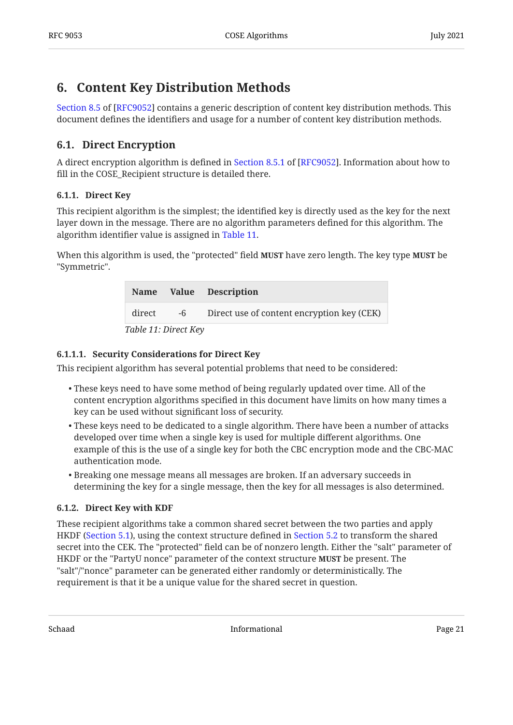## <span id="page-20-0"></span>**[6. Content Key Distribution Methods](#page-20-0)**

[Section 8.5](https://www.rfc-editor.org/rfc/rfc9052#section-8.5) of [\[RFC9052](#page-38-2)] contains a generic description of content key distribution methods. This document defines the identifiers and usage for a number of content key distribution methods.

## <span id="page-20-1"></span>**[6.1. Direct Encryption](#page-20-1)**

A direct encryption algorithm is defined in Section 8.5.1 of [RFC9052]. Information about how to fill in the COSE Recipient structure is detailed there.

#### <span id="page-20-2"></span>**[6.1.1. Direct Key](#page-20-2)**

This recipient algorithm is the simplest; the identified key is directly used as the key for the next layer down in the message. There are no algorithm parameters defined for this algorithm. The algorithm identifier value is assigned in [Table 11.](#page-20-4)

<span id="page-20-4"></span>When this algorithm is used, the "protected" field **MUST** have zero length. The key type **MUST** be "Symmetric".

<span id="page-20-5"></span>

|                      |      | Name Value Description                     |  |  |
|----------------------|------|--------------------------------------------|--|--|
| direct               | $-6$ | Direct use of content encryption key (CEK) |  |  |
| Table 11: Direct Key |      |                                            |  |  |

#### <span id="page-20-6"></span>**[6.1.1.1. Security Considerations for Direct Key](#page-20-6)**

This recipient algorithm has several potential problems that need to be considered:

- These keys need to have some method of being regularly updated over time. All of the content encryption algorithms specified in this document have limits on how many times a key can be used without significant loss of security.
- These keys need to be dedicated to a single algorithm. There have been a number of attacks developed over time when a single key is used for multiple different algorithms. One example of this is the use of a single key for both the CBC encryption mode and the CBC-MAC authentication mode.
- $\bullet$  Breaking one message means all messages are broken. If an adversary succeeds in determining the key for a single message, then the key for all messages is also determined.

#### <span id="page-20-3"></span>**[6.1.2. Direct Key with KDF](#page-20-3)**

These recipient algorithms take a common shared secret between the two parties and apply HKDF [\(Section 5.1\)](#page-14-2), using the context structure defined in [Section 5.2](#page-16-0) to transform the shared secret into the CEK. The "protected" field can be of nonzero length. Either the "salt" parameter of HKDF or the "PartyU nonce" parameter of the context structure **MUST** be present. The "salt"/"nonce" parameter can be generated either randomly or deterministically. The requirement is that it be a unique value for the shared secret in question.

Schaad Page 21 and Page 21 and Page 21 and Page 21 and Page 21 and Page 21 and Page 21 and Page 21 and Page 21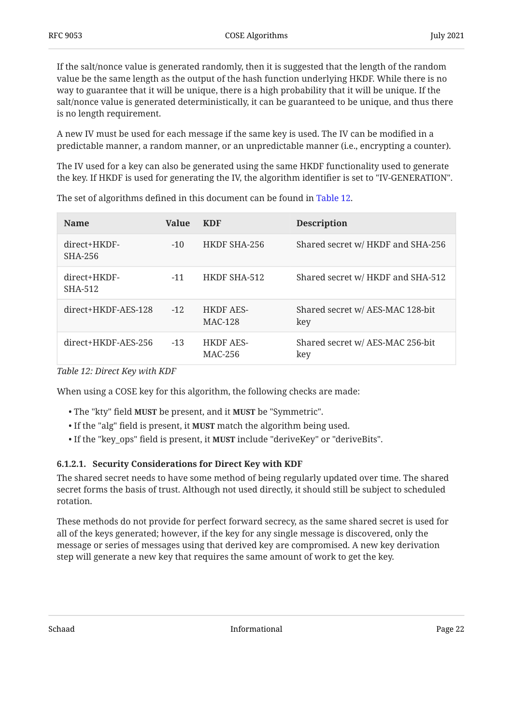If the salt/nonce value is generated randomly, then it is suggested that the length of the random value be the same length as the output of the hash function underlying HKDF. While there is no way to guarantee that it will be unique, there is a high probability that it will be unique. If the salt/nonce value is generated deterministically, it can be guaranteed to be unique, and thus there is no length requirement.

A new IV must be used for each message if the same key is used. The IV can be modified in a predictable manner, a random manner, or an unpredictable manner (i.e., encrypting a counter).

The IV used for a key can also be generated using the same HKDF functionality used to generate the key. If HKDF is used for generating the IV, the algorithm identifier is set to "IV-GENERATION".

<span id="page-21-0"></span>

| <b>Name</b>               | <b>Value</b> | <b>KDF</b>                  | <b>Description</b>                      |
|---------------------------|--------------|-----------------------------|-----------------------------------------|
| $direct+HKDF-$<br>SHA-256 | $-10$        | HKDF SHA-256                | Shared secret w/ HKDF and SHA-256       |
| direct+HKDF-<br>SHA-512   | $-11$        | HKDF SHA-512                | Shared secret w/ HKDF and SHA-512       |
| $direct+HKDF-AES-128$     | $-12$        | <b>HKDF AES-</b><br>MAC-128 | Shared secret w/ AES-MAC 128-bit<br>key |
| $direct+HKDF-AES-256$     | $-1.3$       | <b>HKDF AES-</b><br>MAC-256 | Shared secret w/ AES-MAC 256-bit<br>key |

The set of algorithms defined in this document can be found in [Table 12](#page-21-0).

*[Table 12: Direct Key with KDF](#page-21-0)* 

When using a COSE key for this algorithm, the following checks are made:

- The "kty" field **MUST** be present, and it **MUST** be "Symmetric".
- If the "alg" field is present, it **MUST** match the algorithm being used.
- If the "key\_ops" field is present, it **MUST** include "deriveKey" or "deriveBits".

#### <span id="page-21-1"></span>**[6.1.2.1. Security Considerations for Direct Key with KDF](#page-21-1)**

The shared secret needs to have some method of being regularly updated over time. The shared secret forms the basis of trust. Although not used directly, it should still be subject to scheduled rotation.

These methods do not provide for perfect forward secrecy, as the same shared secret is used for all of the keys generated; however, if the key for any single message is discovered, only the message or series of messages using that derived key are compromised. A new key derivation step will generate a new key that requires the same amount of work to get the key.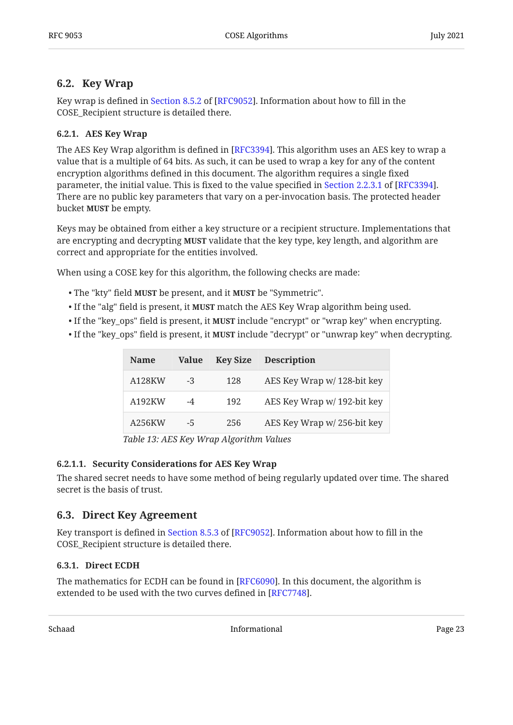### <span id="page-22-0"></span>**[6.2. Key Wrap](#page-22-0)**

Keywrap is defined in Section 8.5.2 of [RFC9052]. Information about how to fill in the COSE\_Recipient structure is detailed there.

#### <span id="page-22-1"></span>**[6.2.1. AES Key Wrap](#page-22-1)**

The AES Key Wrap algorithm is defined in [RFC3394]. This algorithm uses an AES key to wrap a value that is a multiple of 64 bits. As such, it can be used to wrap a key for any of the content encryption algorithms defined in this document. The algorithm requires a single fixed parameter, the initial value. This is fixed to the value specified in Section 2.2.3.1 of [RFC3394]. There are no public key parameters that vary on a per-invocation basis. The protected header bucket **MUST** be empty.

Keys may be obtained from either a key structure or a recipient structure. Implementations that are encrypting and decrypting **MUST** validate that the key type, key length, and algorithm are correct and appropriate for the entities involved.

When using a COSE key for this algorithm, the following checks are made:

- The "kty" field MUST be present, and it MUST be "Symmetric".
- If the "alg" field is present, it **MUST** match the AES Key Wrap algorithm being used.
- If the "key\_ops" field is present, it **MUST** include "encrypt" or "wrap key" when encrypting.
- <span id="page-22-5"></span>• If the "key\_ops" field is present, it **MUST** include "decrypt" or "unwrap key" when decrypting.

<span id="page-22-4"></span>

| <b>Name</b> | Value | <b>Key Size</b> | <b>Description</b>          |
|-------------|-------|-----------------|-----------------------------|
| A128KW      | -3    | 128             | AES Key Wrap w/ 128-bit key |
| A192KW      | -4    | 192             | AES Key Wrap w/ 192-bit key |
| A256KW      | -5    | 256             | AES Key Wrap w/256-bit key  |

*[Table 13:](#page-22-4) [AES Key Wrap Algorithm Values](#page-22-5)* 

#### <span id="page-22-6"></span>**[6.2.1.1. Security Considerations for AES Key Wrap](#page-22-6)**

The shared secret needs to have some method of being regularly updated over time. The shared secret is the basis of trust.

#### <span id="page-22-2"></span>**[6.3. Direct Key Agreement](#page-22-2)**

Key transport is defined in Section 8.5.3 of [RFC9052]. Information about how to fill in the COSE Recipient structure is detailed there.

#### <span id="page-22-3"></span>**[6.3.1. Direct ECDH](#page-22-3)**

The mathematics for ECDH can be found in  $[{\rm RFC6090}].$  In this document, the algorithm is extended to be used with the two curves defined in [[RFC7748\]](#page-37-12).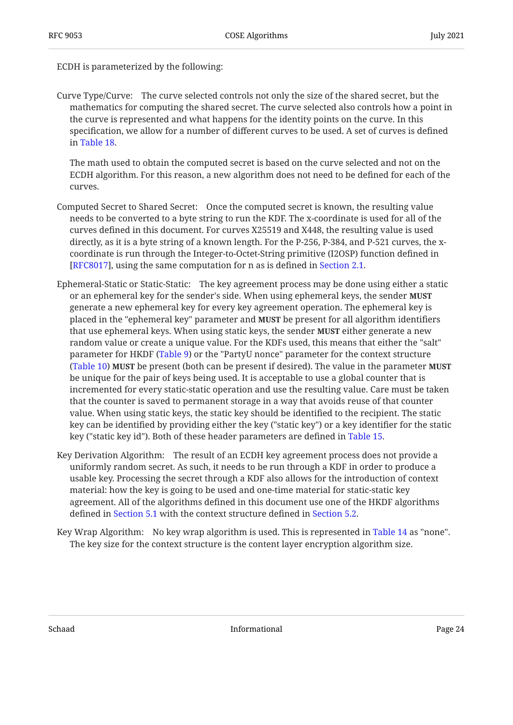ECDH is parameterized by the following:

Curve Type/Curve: The curve selected controls not only the size of the shared secret, but the mathematics for computing the shared secret. The curve selected also controls how a point in the curve is represented and what happens for the identity points on the curve. In this specification, we allow for a number of different curves to be used. A set of curves is defined in [Table 18.](#page-27-1)

The math used to obtain the computed secret is based on the curve selected and not on the ECDH algorithm. For this reason, a new algorithm does not need to be defined for each of the curves.

- Computed Secret to Shared Secret: Once the computed secret is known, the resulting value needs to be converted to a byte string to run the KDF. The x-coordinate is used for all of the curves defined in this document. For curves X25519 and X448, the resulting value is used directly, as it is a byte string of a known length. For the P-256, P-384, and P-521 curves, the xcoordinate is run through the Integer-to-Octet-String primitive (I2OSP) function defined in [RFC8017], using the same computation for n as is defined in [Section 2.1](#page-5-0).
- Ephemeral-Static or Static-Static: The key agreement process may be done using either a static or an ephemeral key for the sender's side. When using ephemeral keys, the sender **MUST** generate a new ephemeral key for every key agreement operation. The ephemeral key is placed in the "ephemeral key" parameter and **MUST** be present for all algorithm identifiers that use ephemeral keys. When using static keys, the sender **MUST** either generate a new random value or create a unique value. For the KDFs used, this means that either the "salt" parameter for HKDF ([Table 9\)](#page-16-1) or the "PartyU nonce" parameter for the context structure [\(Table 10](#page-17-0)) **MUST** be present (both can be present if desired). The value in the parameter **MUST** be unique for the pair of keys being used. It is acceptable to use a global counter that is incremented for every static-static operation and use the resulting value. Care must be taken that the counter is saved to permanent storage in a way that avoids reuse of that counter value. When using static keys, the static key should be identified to the recipient. The static key can be identified by providing either the key ("static key") or a key identifier for the static key ("static key id"). Both of these header parameters are defined in [Table 15.](#page-24-0)
- Key Derivation Algorithm: The result of an ECDH key agreement process does not provide a uniformly random secret. As such, it needs to be run through a KDF in order to produce a usable key. Processing the secret through a KDF also allows for the introduction of context material: how the key is going to be used and one-time material for static-static key agreement. All of the algorithms defined in this document use one of the HKDF algorithms defined in [Section 5.1](#page-14-2) with the context structure defined in [Section 5.2.](#page-16-0)
- Key Wrap Algorithm: No key wrap algorithm is used. This is represented in [Table 14](#page-24-1) as "none". The key size for the context structure is the content layer encryption algorithm size.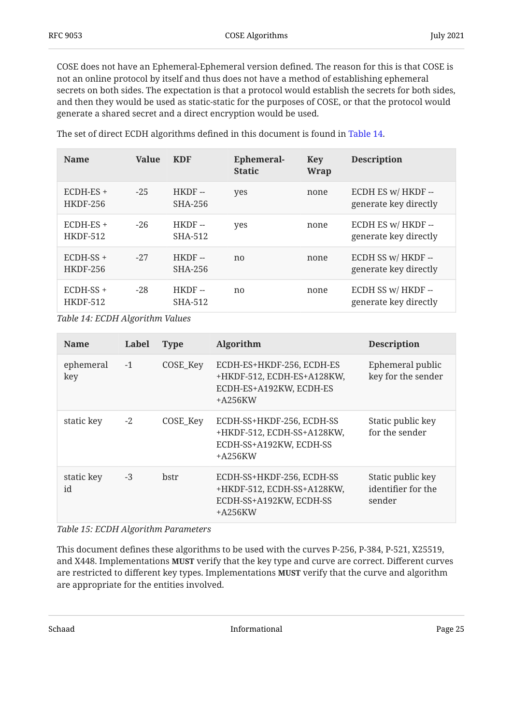COSE does not have an Ephemeral-Ephemeral version defined. The reason for this is that COSE is not an online protocol by itself and thus does not have a method of establishing ephemeral secrets on both sides. The expectation is that a protocol would establish the secrets for both sides, and then they would be used as static-static for the purposes of COSE, or that the protocol would generate a shared secret and a direct encryption would be used.

<span id="page-24-1"></span>

| <b>Name</b>                    | <b>Value</b> | <b>KDF</b>          | Ephemeral-<br><b>Static</b> | Key<br><b>Wrap</b> | <b>Description</b>                          |
|--------------------------------|--------------|---------------------|-----------------------------|--------------------|---------------------------------------------|
| ECDH-ES +<br><b>HKDF-256</b>   | $-25$        | $HKDF -$<br>SHA-256 | yes                         | none               | ECDH ES w/ HKDF --<br>generate key directly |
| $ECDH-ES +$<br><b>HKDF-512</b> | $-26$        | $HKDF -$<br>SHA-512 | yes                         | none               | ECDH ES w/ HKDF --<br>generate key directly |
| $ECDH-SS +$<br><b>HKDF-256</b> | $-27$        | $HKDF -$<br>SHA-256 | no                          | none               | ECDH SS w/ HKDF --<br>generate key directly |
| $ECDH-SS +$<br><b>HKDF-512</b> | $-28$        | $HKDF -$<br>SHA-512 | no                          | none               | ECDH SS w/ HKDF --<br>generate key directly |

The set of direct ECDH algorithms defined in this document is found in [Table 14](#page-24-1).

*[Table 14: ECDH Algorithm Values](#page-24-1)* 

<span id="page-24-0"></span>

| <b>Name</b>      | Label | <b>Type</b> | Algorithm                                                                                       | <b>Description</b>                                |
|------------------|-------|-------------|-------------------------------------------------------------------------------------------------|---------------------------------------------------|
| ephemeral<br>key | $-1$  | COSE_Key    | ECDH-ES+HKDF-256, ECDH-ES<br>+HKDF-512, ECDH-ES+A128KW,<br>ECDH-ES+A192KW, ECDH-ES<br>$+A256KW$ | Ephemeral public<br>key for the sender            |
| static key       | $-2$  | COSE_Key    | ECDH-SS+HKDF-256, ECDH-SS<br>+HKDF-512, ECDH-SS+A128KW,<br>ECDH-SS+A192KW, ECDH-SS<br>$+A256KW$ | Static public key<br>for the sender               |
| static key<br>id | $-3$  | <b>bstr</b> | ECDH-SS+HKDF-256, ECDH-SS<br>+HKDF-512, ECDH-SS+A128KW,<br>ECDH-SS+A192KW, ECDH-SS<br>$+A256KW$ | Static public key<br>identifier for the<br>sender |

*[Table 15: ECDH Algorithm Parameters](#page-24-0)* 

This document defines these algorithms to be used with the curves P-256, P-384, P-521, X25519, and X448. Implementations MUST verify that the key type and curve are correct. Different curves are restricted to different key types. Implementations **MUST** verify that the curve and algorithm are appropriate for the entities involved.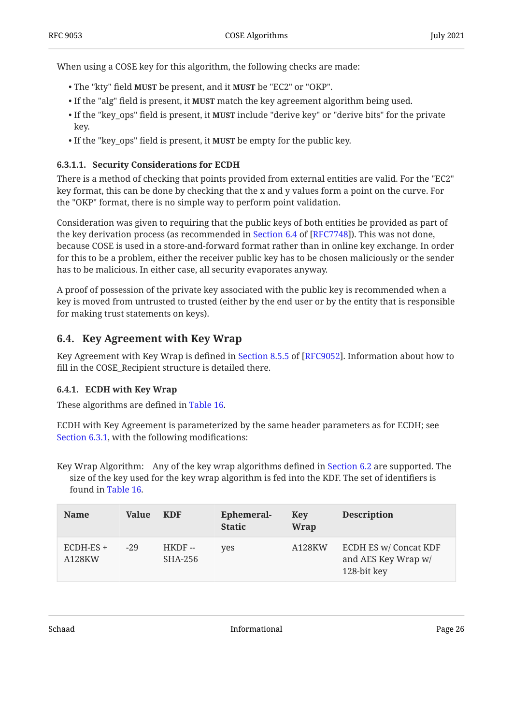When using a COSE key for this algorithm, the following checks are made:

- The "kty" field **MUST** be present, and it **MUST** be "EC2" or "OKP".
- If the "alg" field is present, it **MUST** match the key agreement algorithm being used.
- If the "key\_ops" field is present, it **MUST** include "derive key" or "derive bits" for the private key.
- If the "key\_ops" field is present, it **MUST** be empty for the public key.

#### <span id="page-25-2"></span>**[6.3.1.1. Security Considerations for ECDH](#page-25-2)**

There is a method of checking that points provided from external entities are valid. For the "EC2" key format, this can be done by checking that the x and y values form a point on the curve. For the "OKP" format, there is no simple way to perform point validation.

Consideration was given to requiring that the public keys of both entities be provided as part of the key derivation process (as recommended in Section 6.4 of [RFC7748]). This was not done, because COSE is used in a store-and-forward format rather than in online key exchange. In order for this to be a problem, either the receiver public key has to be chosen maliciously or the sender has to be malicious. In either case, all security evaporates anyway.

A proof of possession of the private key associated with the public key is recommended when a key is moved from untrusted to trusted (either by the end user or by the entity that is responsible for making trust statements on keys).

### <span id="page-25-0"></span>**[6.4. Key Agreement with Key Wrap](#page-25-0)**

Key Agreement with Key Wrap is defined in Section 8.5.5 of [RFC9052]. Information about how to fill in the COSE\_Recipient structure is detailed there.

#### <span id="page-25-1"></span>**[6.4.1. ECDH with Key Wrap](#page-25-1)**

These algorithms are defined in [Table 16.](#page-25-3)

ECDH with Key Agreement is parameterized by the same header parameters as for ECDH; see [Section 6.3.1,](#page-22-3) with the following modifications:

Key Wrap Algorithm: Any of the key wrap algorithms defined in [Section 6.2](#page-22-0) are supported. The size of the key used for the key wrap algorithm is fed into the KDF. The set of identifiers is found in [Table 16.](#page-25-3)

<span id="page-25-3"></span>

| <b>Name</b>           | Value | <b>KDF</b>          | Ephemeral-<br><b>Static</b> | Key<br>Wrap | <b>Description</b>                                                 |
|-----------------------|-------|---------------------|-----------------------------|-------------|--------------------------------------------------------------------|
| $ECDH-ES +$<br>A128KW | $-29$ | $HKDF -$<br>SHA-256 | yes                         | A128KW      | <b>ECDH ES w/ Concat KDF</b><br>and AES Key Wrap w/<br>128-bit key |

Schaad Page 26 and Page 26 and Page 26 and Page 26 and Page 26 and Page 26 and Page 26 and Page 26 and Page 26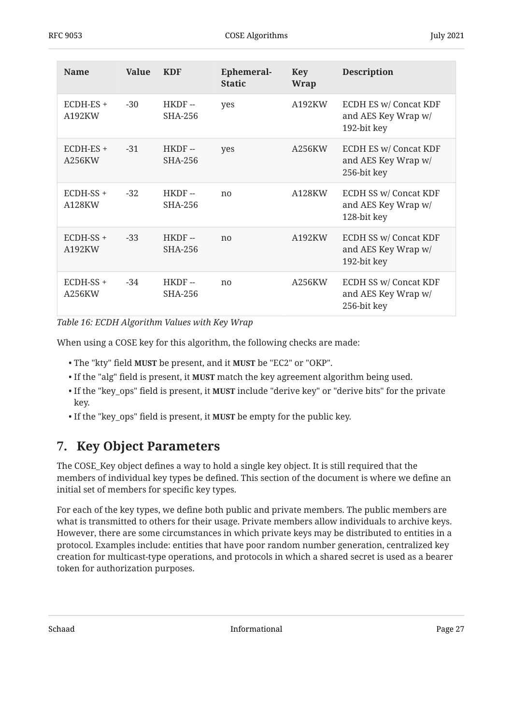| <b>Name</b>           | <b>Value</b> | <b>KDF</b>              | <b>Ephemeral-</b><br><b>Static</b> | <b>Key</b><br><b>Wrap</b> | <b>Description</b>                                                 |
|-----------------------|--------------|-------------------------|------------------------------------|---------------------------|--------------------------------------------------------------------|
| ECDH-ES +<br>A192KW   | $-30$        | HKDF-<br>SHA-256        | yes                                | A192KW                    | <b>ECDH ES w/ Concat KDF</b><br>and AES Key Wrap w/<br>192-bit key |
| $ECDH-ES +$<br>A256KW | $-31$        | HKDF-<br>SHA-256        | yes                                | A256KW                    | <b>ECDH ES w/ Concat KDF</b><br>and AES Key Wrap w/<br>256-bit key |
| $ECDH-SS +$<br>A128KW | $-32$        | $HKDF -$<br>SHA-256     | n <sub>0</sub>                     | A128KW                    | <b>ECDH SS w/ Concat KDF</b><br>and AES Key Wrap w/<br>128-bit key |
| $ECDH-SS +$<br>A192KW | $-33$        | HKDF-<br><b>SHA-256</b> | n <sub>0</sub>                     | A192KW                    | <b>ECDH SS w/ Concat KDF</b><br>and AES Key Wrap w/<br>192-bit key |
| ECDH-SS +<br>A256KW   | $-34$        | HKDF-<br>SHA-256        | n <sub>0</sub>                     | A256KW                    | <b>ECDH SS w/ Concat KDF</b><br>and AES Key Wrap w/<br>256-bit key |

*[Table 16: ECDH Algorithm Values with Key Wrap](#page-25-3)* 

When using a COSE key for this algorithm, the following checks are made:

- The "kty" field MUST be present, and it MUST be "EC2" or "OKP".
- If the "alg" field is present, it **MUST** match the key agreement algorithm being used.
- If the "key\_ops" field is present, it **MUST** include "derive key" or "derive bits" for the private key.
- <span id="page-26-0"></span>• If the "key\_ops" field is present, it **MUST** be empty for the public key.

## **[7. Key Object Parameters](#page-26-0)**

The COSE\_Key object defines a way to hold a single key object. It is still required that the members of individual key types be defined. This section of the document is where we define an initial set of members for specific key types.

For each of the key types, we define both public and private members. The public members are what is transmitted to others for their usage. Private members allow individuals to archive keys. However, there are some circumstances in which private keys may be distributed to entities in a protocol. Examples include: entities that have poor random number generation, centralized key creation for multicast-type operations, and protocols in which a shared secret is used as a bearer token for authorization purposes.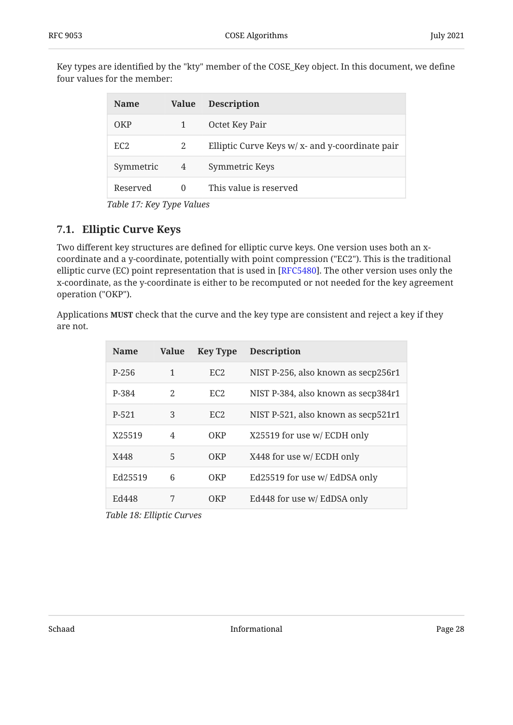<span id="page-27-3"></span>Key types are identified by the "kty" member of the COSE\_Key object. In this document, we define four values for the member:

<span id="page-27-2"></span>

| <b>Name</b>     | <b>Value</b> | <b>Description</b>                                |
|-----------------|--------------|---------------------------------------------------|
| OKP             |              | Octet Key Pair                                    |
| EC <sub>2</sub> | 2            | Elliptic Curve Keys $w/x$ - and y-coordinate pair |
| Symmetric       | 4            | Symmetric Keys                                    |
| Reserved        | $\Omega$     | This value is reserved                            |
|                 |              |                                                   |

*[Table 17](#page-27-2): [Key Type Values](#page-27-3)* 

### <span id="page-27-0"></span>**[7.1. Elliptic Curve Keys](#page-27-0)**

Two different key structures are defined for elliptic curve keys. One version uses both an xcoordinate and a y-coordinate, potentially with point compression ("EC2"). This is the traditional elliptic curve (EC) point representation that is used in [RFC5480]. The other version uses only the x-coordinate, as the y-coordinate is either to be recomputed or not needed for the key agreement operation ("OKP").

<span id="page-27-1"></span>Applications **MUST** check that the curve and the key type are consistent and reject a key if they are not.

<span id="page-27-4"></span>

| <b>Name</b> | <b>Value</b> | <b>Key Type</b> | <b>Description</b>                  |
|-------------|--------------|-----------------|-------------------------------------|
| P-256       | 1            | EC <sub>2</sub> | NIST P-256, also known as secp256r1 |
| P-384       | 2            | EC <sub>2</sub> | NIST P-384, also known as secp384r1 |
| P-521       | 3            | EC2             | NIST P-521, also known as secp521r1 |
| X25519      | 4            | <b>OKP</b>      | X25519 for use w/ ECDH only         |
| X448        | 5            | OKP             | X448 for use w/ ECDH only           |
| Ed25519     | 6            | OKP             | Ed25519 for use w/ EdDSA only       |
| Ed448       | 7            | OKP             | Ed448 for use w/ EdDSA only         |

*[Table 18:](#page-27-4) [Elliptic Curves](#page-27-1)*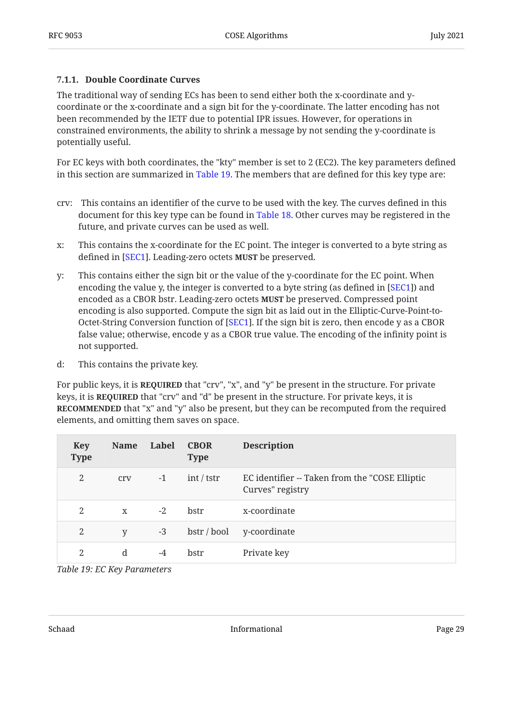#### <span id="page-28-0"></span>**[7.1.1. Double Coordinate Curves](#page-28-0)**

The traditional way of sending ECs has been to send either both the x-coordinate and ycoordinate or the x-coordinate and a sign bit for the y-coordinate. The latter encoding has not been recommended by the IETF due to potential IPR issues. However, for operations in constrained environments, the ability to shrink a message by not sending the y-coordinate is potentially useful.

For EC keys with both coordinates, the "kty" member is set to 2 (EC2). The key parameters defined in this section are summarized in [Table 19.](#page-28-1) The members that are defined for this key type are:

- crv: This contains an identifier of the curve to be used with the key. The curves defined in this document for this key type can be found in [Table 18.](#page-27-1) Other curves may be registered in the future, and private curves can be used as well.
- x: This contains the x-coordinate for the EC point. The integer is converted to a byte string as defined in [\[SEC1](#page-38-11)]. Leading-zero octets **MUST** be preserved.
- y: This contains either the sign bit or the value of the y-coordinate for the EC point. When encoding the value y, the integer is converted to a byte string (as defined in  $[SEC1]$ ) and encoded as a CBOR bstr. Leading-zero octets **MUST** be preserved. Compressed point encoding is also supported. Compute the sign bit as laid out in the Elliptic-Curve-Point-to-Octet-String Conversion function of [SEC1]. If the sign bit is zero, then encode y as a CBOR false value; otherwise, encode y as a CBOR true value. The encoding of the infinity point is not supported.
- d: This contains the private key.

For public keys, it is **REQUIRED** that "crv", "x", and "y" be present in the structure. For private keys, it is **REQUIRED** that "crv" and "d" be present in the structure. For private keys, it is **RECOMMENDED** that "x" and "y" also be present, but they can be recomputed from the required elements, and omitting them saves on space.

<span id="page-28-1"></span>

| <b>Key</b><br><b>Type</b> | <b>Name</b>  | Label | <b>CBOR</b><br><b>Type</b> | <b>Description</b>                                                 |
|---------------------------|--------------|-------|----------------------------|--------------------------------------------------------------------|
| 2                         | cry          | $-1$  | int / tstr                 | EC identifier -- Taken from the "COSE Elliptic<br>Curves" registry |
| 2                         | $\mathbf{X}$ | $-2$  | bstr                       | x-coordinate                                                       |
| 2                         | V            | $-3$  | bstr / bool                | y-coordinate                                                       |
| 2                         | d            | $-4$  | bstr                       | Private key                                                        |

*[Table 19: EC Key Parameters](#page-28-1)*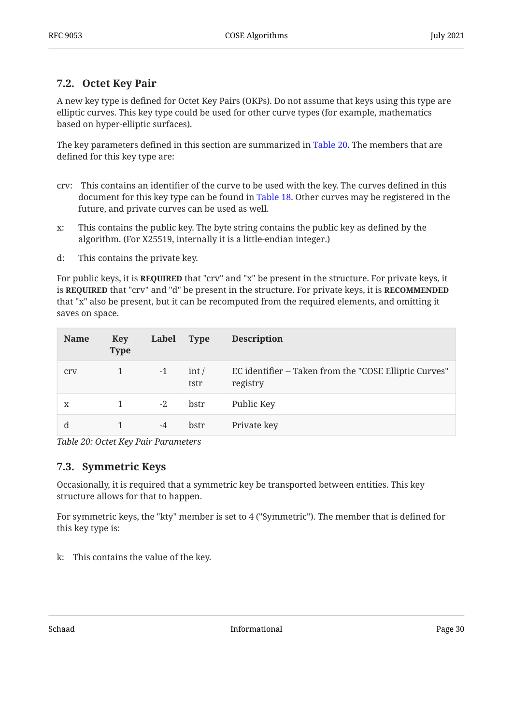### <span id="page-29-0"></span>**[7.2. Octet Key Pair](#page-29-0)**

A new key type is defined for Octet Key Pairs (OKPs). Do not assume that keys using this type are elliptic curves. This key type could be used for other curve types (for example, mathematics based on hyper-elliptic surfaces).

The key parameters defined in this section are summarized in [Table 20](#page-29-2). The members that are defined for this key type are:

- crv: This contains an identifier of the curve to be used with the key. The curves defined in this document for this key type can be found in [Table 18.](#page-27-1) Other curves may be registered in the future, and private curves can be used as well.
- x: This contains the public key. The byte string contains the public key as defined by the algorithm. (For X25519, internally it is a little-endian integer.)
- d: This contains the private key.

For public keys, it is **REQUIRED** that "crv" and "x" be present in the structure. For private keys, it is **REQUIRED** that "crv" and "d" be present in the structure. For private keys, it is **RECOMMENDED** that "x" also be present, but it can be recomputed from the required elements, and omitting it saves on space.

<span id="page-29-2"></span>

| <b>Name</b> | <b>Key</b><br><b>Type</b> | Label | <b>Type</b>   | <b>Description</b>                                                 |
|-------------|---------------------------|-------|---------------|--------------------------------------------------------------------|
| cry         | 1                         | $-1$  | int /<br>tstr | EC identifier -- Taken from the "COSE Elliptic Curves"<br>registry |
| X           | 1                         | $-2$  | bstr          | Public Key                                                         |
| d           |                           | $-4$  | bstr          | Private key                                                        |

<span id="page-29-1"></span>*[Table 20: Octet Key Pair Parameters](#page-29-2)* 

#### **[7.3. Symmetric Keys](#page-29-1)**

Occasionally, it is required that a symmetric key be transported between entities. This key structure allows for that to happen.

For symmetric keys, the "kty" member is set to 4 ("Symmetric"). The member that is defined for this key type is:

k: This contains the value of the key.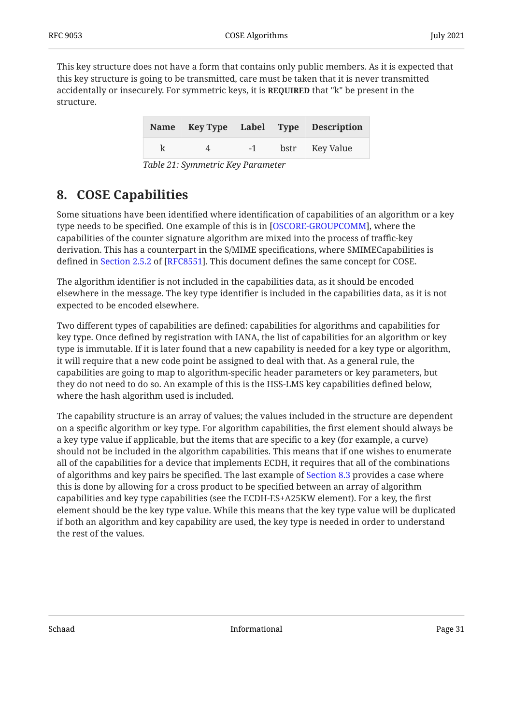<span id="page-30-2"></span>This key structure does not have a form that contains only public members. As it is expected that this key structure is going to be transmitted, care must be taken that it is never transmitted accidentally or insecurely. For symmetric keys, it is **REQUIRED** that "k" be present in the structure.

<span id="page-30-1"></span>

|   |          |      | Name Key Type Label Type Description |
|---|----------|------|--------------------------------------|
| k | $\Delta$ | $-1$ | bstr Key Value                       |

*[Table 21:](#page-30-1) [Symmetric Key Parameter](#page-30-2)* 

## <span id="page-30-0"></span>**[8. COSE Capabilities](#page-30-0)**

Some situations have been identified where identification of capabilities of an algorithm or a key type needs to be specified. One example of this is in [OSCORE-GROUPCOMM], where the capabilities of the counter signature algorithm are mixed into the process of traffic-key derivation. This has a counterpart in the S/MIME specifications, where SMIMECapabilities is defined in Section 2.5.2 of [RFC8551]. This document defines the same concept for COSE.

The algorithm identifier is not included in the capabilities data, as it should be encoded elsewhere in the message. The key type identifier is included in the capabilities data, as it is not expected to be encoded elsewhere.

Two different types of capabilities are defined: capabilities for algorithms and capabilities for key type. Once defined by registration with IANA, the list of capabilities for an algorithm or key type is immutable. If it is later found that a new capability is needed for a key type or algorithm, it will require that a new code point be assigned to deal with that. As a general rule, the capabilities are going to map to algorithm-specific header parameters or key parameters, but they do not need to do so. An example of this is the HSS-LMS key capabilities defined below, where the hash algorithm used is included.

The capability structure is an array of values; the values included in the structure are dependent on a specific algorithm or key type. For algorithm capabilities, the first element should always be a key type value if applicable, but the items that are specific to a key (for example, a curve) should not be included in the algorithm capabilities. This means that if one wishes to enumerate all of the capabilities for a device that implements ECDH, it requires that all of the combinations of algorithms and key pairs be specified. The last example of [Section 8.3](#page-31-2) provides a case where this is done by allowing for a cross product to be specified between an array of algorithm capabilities and key type capabilities (see the ECDH-ES+A25KW element). For a key, the first element should be the key type value. While this means that the key type value will be duplicated if both an algorithm and key capability are used, the key type is needed in order to understand the rest of the values.

Schaad Page 31 and Page 31 and Page 31 and Page 31 and Page 31 and Page 31 and Page 31 and Page 31 and Page 31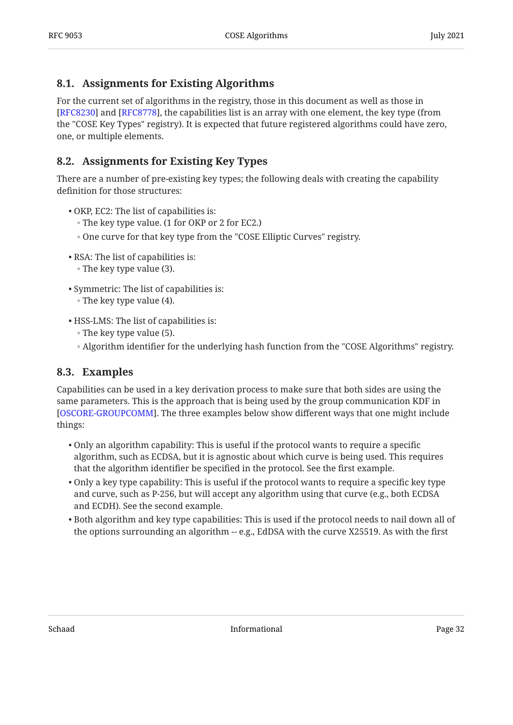### <span id="page-31-0"></span>**[8.1. Assignments for Existing Algorithms](#page-31-0)**

For the current set of algorithms in the registry, those in this document as well as those in  $[RFC8230]$  $[RFC8230]$  and  $[RFC8778]$ , the capabilities list is an array with one element, the key type (from the "COSE Key Types" registry). It is expected that future registered algorithms could have zero, one, or multiple elements.

### <span id="page-31-1"></span>**[8.2. Assignments for Existing Key Types](#page-31-1)**

There are a number of pre-existing key types; the following deals with creating the capability definition for those structures:

- OKP, EC2: The list of capabilities is:
	- The key type value. (1 for OKP or 2 for EC2.)
	- One curve for that key type from the "COSE Elliptic Curves" registry.
- RSA: The list of capabilities is: •
- The key type value (3). ◦
- Symmetric: The list of capabilities is:
	- $\circ$  The key type value (4).
- HSS-LMS: The list of capabilities is:
	- The key type value (5).
	- Algorithm identifier for the underlying hash function from the "COSE Algorithms" registry. ◦

#### <span id="page-31-2"></span>**[8.3. Examples](#page-31-2)**

Capabilities can be used in a key derivation process to make sure that both sides are using the same parameters. This is the approach that is being used by the group communication KDF in [[OSCORE-GROUPCOMM\]](#page-38-12). The three examples below show different ways that one might include things:

- Only an algorithm capability: This is useful if the protocol wants to require a specific algorithm, such as ECDSA, but it is agnostic about which curve is being used. This requires that the algorithm identifier be specified in the protocol. See the first example.
- $\bullet$  Only a key type capability: This is useful if the protocol wants to require a specific key type and curve, such as P-256, but will accept any algorithm using that curve (e.g., both ECDSA and ECDH). See the second example.
- $\bullet$  Both algorithm and key type capabilities: This is used if the protocol needs to nail down all of the options surrounding an algorithm -- e.g., EdDSA with the curve X25519. As with the first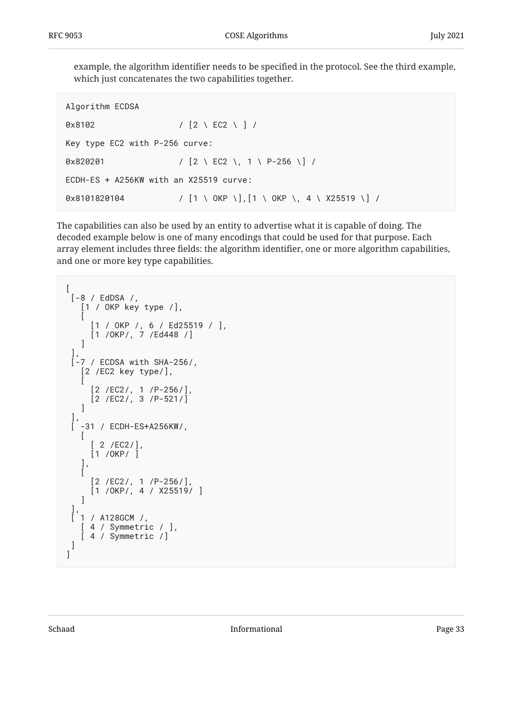example, the algorithm identifier needs to be specified in the protocol. See the third example, which just concatenates the two capabilities together.

```
Algorithm ECDSA
0x8102 / [2 \ EC2 \ ] /
Key type EC2 with P-256 curve:
0x820201 / [2 \ EC2 \, 1 \ P-256 \] /
ECDH-ES + A256KW with an X25519 curve:
0x8101820104 / [1 \ OKP \], [1 \ OKP \, 4 \ X25519 \] /
```
The capabilities can also be used by an entity to advertise what it is capable of doing. The decoded example below is one of many encodings that could be used for that purpose. Each array element includes three fields: the algorithm identifier, one or more algorithm capabilities, and one or more key type capabilities.

```
\lceil [-8 / EdDSA /,
     [1 / OKP key type /],
\blacksquare [1 / OKP /, 6 / Ed25519 / ],
      [1 / 0KP/, 7 /Ed448 /]
     ]
 ],
 [-7 / ECDSA with SHA-256/,
     [2 /EC2 key type/],
\blacksquare [2 /EC2/, 1 /P-256/],
       [2 /EC2/, 3 /P-521/]
    ]
 ],
    [ -31 / ECDH-ES+A256KW/,
   \lfloor [ 2 /EC2/],
       [1 /OKP/ ]
     ],
    \overline{[} [2 /EC2/, 1 /P-256/],
       [1 /OKP/, 4 / X25519/ ]
    ]
 ],
 \begin{bmatrix} 1 & / & A128GCM & / \end{bmatrix} [ 4 / Symmetric / ],
     [ 4 / Symmetric /]
  ]
]
```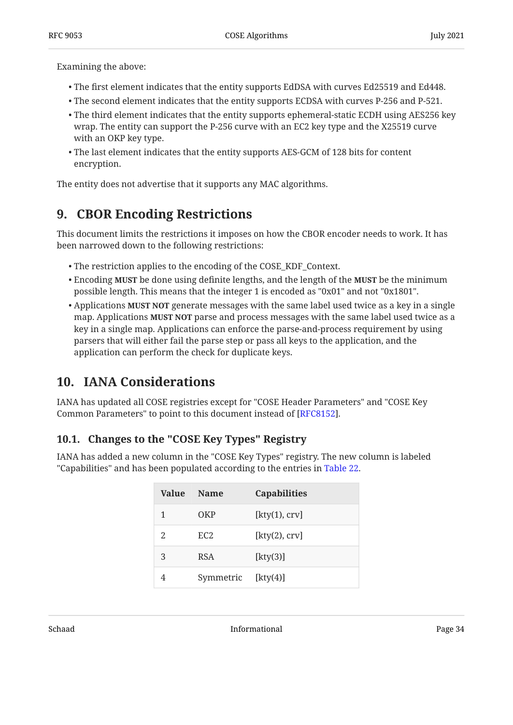Examining the above:

- The first element indicates that the entity supports EdDSA with curves Ed25519 and Ed448. •
- The second element indicates that the entity supports ECDSA with curves P-256 and P-521. •
- $\bullet$  The third element indicates that the entity supports ephemeral-static ECDH using AES256 key wrap. The entity can support the P-256 curve with an EC2 key type and the X25519 curve with an OKP key type.
- The last element indicates that the entity supports AES-GCM of 128 bits for content encryption.

<span id="page-33-0"></span>The entity does not advertise that it supports any MAC algorithms.

## **[9. CBOR Encoding Restrictions](#page-33-0)**

This document limits the restrictions it imposes on how the CBOR encoder needs to work. It has been narrowed down to the following restrictions:

- The restriction applies to the encoding of the COSE\_KDF\_Context. •
- Encoding **MUST** be done using definite lengths, and the length of the **MUST** be the minimum possible length. This means that the integer 1 is encoded as "0x01" and not "0x1801".
- $\bullet$  Applications **MUST NOT** generate messages with the same label used twice as a key in a single map. Applications **MUST NOT** parse and process messages with the same label used twice as a key in a single map. Applications can enforce the parse-and-process requirement by using parsers that will either fail the parse step or pass all keys to the application, and the application can perform the check for duplicate keys.

## <span id="page-33-1"></span>**[10. IANA Considerations](#page-33-1)**

IANA has updated all COSE registries except for "COSE Header Parameters" and "COSE Key Common Parameters" to point to this document instead of [\[RFC8152](#page-39-2)].

## <span id="page-33-2"></span>**[10.1. Changes to the "COSE Key Types" Registry](#page-33-2)**

<span id="page-33-3"></span>IANA has added a new column in the "COSE Key Types" registry. The new column is labeled "Capabilities" and has been populated according to the entries in [Table 22](#page-33-3).

<span id="page-33-4"></span>

| Value | <b>Name</b>     | <b>Capabilities</b> |
|-------|-----------------|---------------------|
| 1     | OKP             | [kty(1), crv]       |
| 2     | EC <sub>2</sub> | [kty(2), crv]       |
| 3     | <b>RSA</b>      | [kty(3)]            |
| 4     | Symmetric       | [kty(4)]            |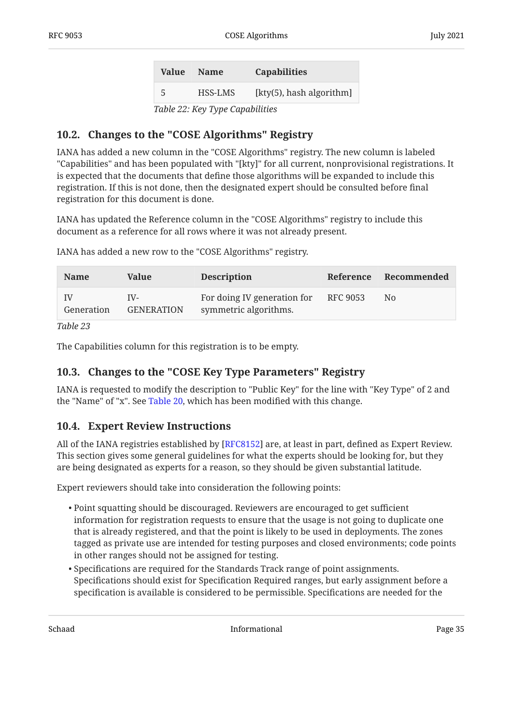| Value  | <b>Name</b> | <b>Capabilities</b>      |  |
|--------|-------------|--------------------------|--|
| -5     | HSS-LMS     | [kty(5), hash algorithm] |  |
| T1100T |             | .                        |  |

*[Table 22](#page-33-4): [Key Type Capabilities](#page-33-3)* 

### <span id="page-34-0"></span>**[10.2. Changes to the "COSE Algorithms" Registry](#page-34-0)**

IANA has added a new column in the "COSE Algorithms" registry. The new column is labeled "Capabilities" and has been populated with "[kty]" for all current, nonprovisional registrations. It is expected that the documents that define those algorithms will be expanded to include this registration. If this is not done, then the designated expert should be consulted before final registration for this document is done.

IANA has updated the Reference column in the "COSE Algorithms" registry to include this document as a reference for all rows where it was not already present.

<span id="page-34-3"></span>

| <b>Name</b>      | Value                    | <b>Description</b>                                   |          | Reference Recommended |
|------------------|--------------------------|------------------------------------------------------|----------|-----------------------|
| IV<br>Generation | IV-<br><b>GENERATION</b> | For doing IV generation for<br>symmetric algorithms. | RFC 9053 | N0                    |

IANA has added a new row to the "COSE Algorithms" registry.

*[Table 23](#page-34-3)*

<span id="page-34-1"></span>The Capabilities column for this registration is to be empty.

### **[10.3. Changes to the "COSE Key Type Parameters" Registry](#page-34-1)**

IANA is requested to modify the description to "Public Key" for the line with "Key Type" of 2 and the "Name" of "x". See [Table 20](#page-29-2), which has been modified with this change.

### <span id="page-34-2"></span>**[10.4. Expert Review Instructions](#page-34-2)**

All of the IANA registries established by [[RFC8152\]](#page-39-2) are, at least in part, defined as Expert Review. This section gives some general guidelines for what the experts should be looking for, but they are being designated as experts for a reason, so they should be given substantial latitude.

Expert reviewers should take into consideration the following points:

- Point squatting should be discouraged. Reviewers are encouraged to get sufficient information for registration requests to ensure that the usage is not going to duplicate one that is already registered, and that the point is likely to be used in deployments. The zones tagged as private use are intended for testing purposes and closed environments; code points in other ranges should not be assigned for testing.
- $\bullet$  Specifications are required for the Standards Track range of point assignments. Specifications should exist for Specification Required ranges, but early assignment before a specification is available is considered to be permissible. Specifications are needed for the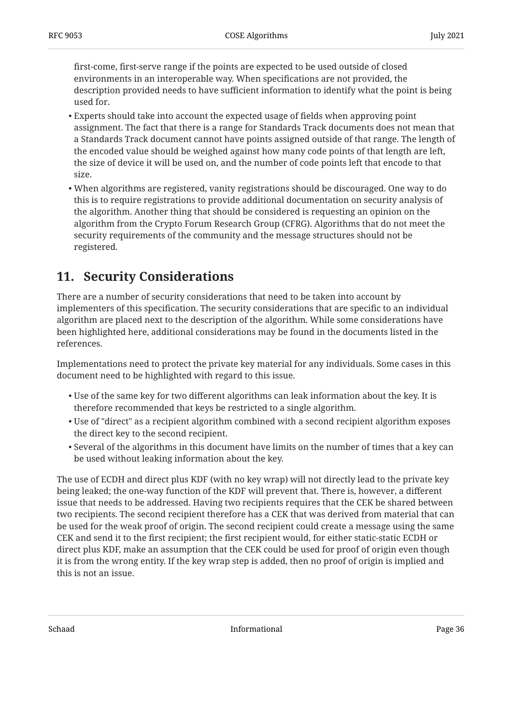first-come, first-serve range if the points are expected to be used outside of closed environments in an interoperable way. When specifications are not provided, the description provided needs to have sufficient information to identify what the point is being used for.

- Experts should take into account the expected usage of fields when approving point assignment. The fact that there is a range for Standards Track documents does not mean that a Standards Track document cannot have points assigned outside of that range. The length of the encoded value should be weighed against how many code points of that length are left, the size of device it will be used on, and the number of code points left that encode to that size.
- When algorithms are registered, vanity registrations should be discouraged. One way to do this is to require registrations to provide additional documentation on security analysis of the algorithm. Another thing that should be considered is requesting an opinion on the algorithm from the Crypto Forum Research Group (CFRG). Algorithms that do not meet the security requirements of the community and the message structures should not be registered.

## <span id="page-35-0"></span>**[11. Security Considerations](#page-35-0)**

There are a number of security considerations that need to be taken into account by implementers of this specification. The security considerations that are specific to an individual algorithm are placed next to the description of the algorithm. While some considerations have been highlighted here, additional considerations may be found in the documents listed in the references.

Implementations need to protect the private key material for any individuals. Some cases in this document need to be highlighted with regard to this issue.

- $\bullet$  Use of the same key for two different algorithms can leak information about the key. It is therefore recommended that keys be restricted to a single algorithm.
- Use of "direct" as a recipient algorithm combined with a second recipient algorithm exposes the direct key to the second recipient.
- $\bullet$  Several of the algorithms in this document have limits on the number of times that a key can be used without leaking information about the key.

The use of ECDH and direct plus KDF (with no key wrap) will not directly lead to the private key being leaked; the one-way function of the KDF will prevent that. There is, however, a different issue that needs to be addressed. Having two recipients requires that the CEK be shared between two recipients. The second recipient therefore has a CEK that was derived from material that can be used for the weak proof of origin. The second recipient could create a message using the same CEK and send it to the first recipient; the first recipient would, for either static-static ECDH or direct plus KDF, make an assumption that the CEK could be used for proof of origin even though it is from the wrong entity. If the key wrap step is added, then no proof of origin is implied and this is not an issue.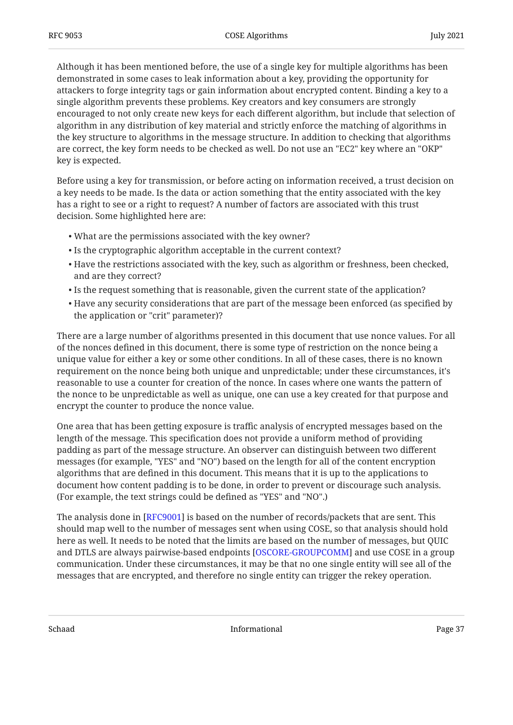Although it has been mentioned before, the use of a single key for multiple algorithms has been demonstrated in some cases to leak information about a key, providing the opportunity for attackers to forge integrity tags or gain information about encrypted content. Binding a key to a single algorithm prevents these problems. Key creators and key consumers are strongly encouraged to not only create new keys for each different algorithm, but include that selection of algorithm in any distribution of key material and strictly enforce the matching of algorithms in the key structure to algorithms in the message structure. In addition to checking that algorithms are correct, the key form needs to be checked as well. Do not use an "EC2" key where an "OKP" key is expected.

Before using a key for transmission, or before acting on information received, a trust decision on a key needs to be made. Is the data or action something that the entity associated with the key has a right to see or a right to request? A number of factors are associated with this trust decision. Some highlighted here are:

- What are the permissions associated with the key owner? •
- $\bullet$  Is the cryptographic algorithm acceptable in the current context?
- $\bullet$  Have the restrictions associated with the key, such as algorithm or freshness, been checked, and are they correct?
- $\bullet$  Is the request something that is reasonable, given the current state of the application?
- $\bullet$  Have any security considerations that are part of the message been enforced (as specified by the application or "crit" parameter)?

There are a large number of algorithms presented in this document that use nonce values. For all of the nonces defined in this document, there is some type of restriction on the nonce being a unique value for either a key or some other conditions. In all of these cases, there is no known requirement on the nonce being both unique and unpredictable; under these circumstances, it's reasonable to use a counter for creation of the nonce. In cases where one wants the pattern of the nonce to be unpredictable as well as unique, one can use a key created for that purpose and encrypt the counter to produce the nonce value.

One area that has been getting exposure is traffic analysis of encrypted messages based on the length of the message. This specification does not provide a uniform method of providing padding as part of the message structure. An observer can distinguish between two different messages (for example, "YES" and "NO") based on the length for all of the content encryption algorithms that are defined in this document. This means that it is up to the applications to document how content padding is to be done, in order to prevent or discourage such analysis. (For example, the text strings could be defined as "YES" and "NO".)

The analysis done in [[RFC9001\]](#page-39-7) is based on the number of records/packets that are sent. This should map well to the number of messages sent when using COSE, so that analysis should hold here as well. It needs to be noted that the limits are based on the number of messages, but QUIC and DTLS are always pairwise-based endpoints [[OSCORE-GROUPCOMM\]](#page-38-12) and use COSE in a group communication. Under these circumstances, it may be that no one single entity will see all of the messages that are encrypted, and therefore no single entity can trigger the rekey operation.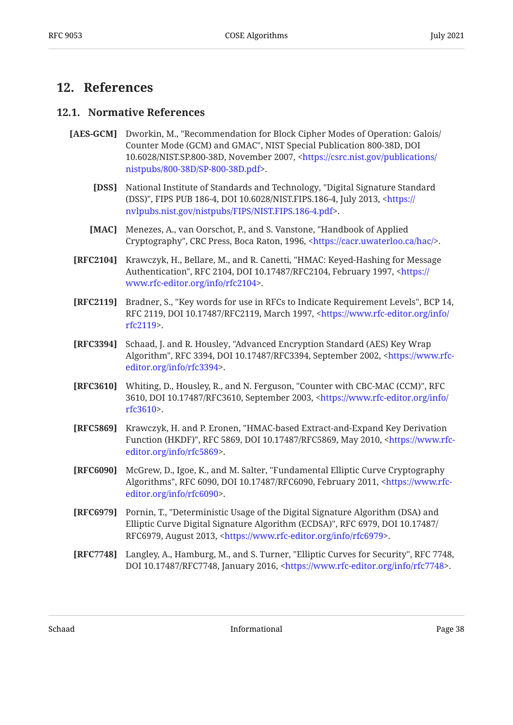## <span id="page-37-1"></span><span id="page-37-0"></span>**[12. References](#page-37-0)**

#### **[12.1. Normative References](#page-37-1)**

- <span id="page-37-8"></span><span id="page-37-4"></span>[AES-GCM] Dworkin, M., "Recommendation for Block Cipher Modes of Operation: Galois/ Counter Mode (GCM) and GMAC", NIST Special Publication 800-38D, DOI 10.6028/NIST.SP.800-38D, November 2007, [<https://csrc.nist.gov/publications/](https://csrc.nist.gov/publications/nistpubs/800-38D/SP-800-38D.pdf) . [nistpubs/800-38D/SP-800-38D.pdf>](https://csrc.nist.gov/publications/nistpubs/800-38D/SP-800-38D.pdf)
	- **[DSS]** , National Institute of Standards and Technology "Digital Signature Standard (DSS)", FIPS PUB 186-4, DOI 10.6028/NIST.FIPS.186-4, July 2013, [<https://](https://nvlpubs.nist.gov/nistpubs/FIPS/NIST.FIPS.186-4.pdf) . [nvlpubs.nist.gov/nistpubs/FIPS/NIST.FIPS.186-4.pdf](https://nvlpubs.nist.gov/nistpubs/FIPS/NIST.FIPS.186-4.pdf)>
	- **[MAC]** Menezes, A., van Oorschot, P., and S. Vanstone, "Handbook of Applied Cryptography", CRC Press, Boca Raton, 1996, <https://cacr.uwaterloo.ca/hac/>.
- <span id="page-37-7"></span><span id="page-37-6"></span>**[RFC2104]** Krawczyk, H., Bellare, M., and R. Canetti, "HMAC: Keyed-Hashing for Message Authentication", RFC 2104, DOI 10.17487/RFC2104, February 1997, <[https://](https://www.rfc-editor.org/info/rfc2104) . [www.rfc-editor.org/info/rfc2104>](https://www.rfc-editor.org/info/rfc2104)
- <span id="page-37-2"></span>**[RFC2119]** Bradner, S., "Key words for use in RFCs to Indicate Requirement Levels", BCP 14, RFC 2119, DOI 10.17487/RFC2119, March 1997, <[https://www.rfc-editor.org/info/](https://www.rfc-editor.org/info/rfc2119) . [rfc2119>](https://www.rfc-editor.org/info/rfc2119)
- <span id="page-37-3"></span>**[RFC3394]** Schaad, J. and R. Housley, "Advanced Encryption Standard (AES) Key Wrap Algorithm", RFC 3394, DOI 10.17487/RFC3394, September 2002, [<https://www.rfc-](https://www.rfc-editor.org/info/rfc3394). [editor.org/info/rfc3394>](https://www.rfc-editor.org/info/rfc3394)
- <span id="page-37-9"></span>**[RFC3610]** Whiting, D., Housley, R., and N. Ferguson, "Counter with CBC-MAC (CCM)", RFC 3610, DOI 10.17487/RFC3610, September 2003, <[https://www.rfc-editor.org/info/](https://www.rfc-editor.org/info/rfc3610) . [rfc3610>](https://www.rfc-editor.org/info/rfc3610)
- <span id="page-37-10"></span>**[RFC5869]** Krawczyk, H. and P. Eronen, "HMAC-based Extract-and-Expand Key Derivation Function (HKDF)", RFC 5869, DOI 10.17487/RFC5869, May 2010, <[https://www.rfc-](https://www.rfc-editor.org/info/rfc5869). [editor.org/info/rfc5869>](https://www.rfc-editor.org/info/rfc5869)
- <span id="page-37-11"></span>**[RFC6090]** McGrew, D., Igoe, K., and M. Salter, "Fundamental Elliptic Curve Cryptography Algorithms", RFC 6090, DOI 10.17487/RFC6090, February 2011, <[https://www.rfc-](https://www.rfc-editor.org/info/rfc6090). [editor.org/info/rfc6090>](https://www.rfc-editor.org/info/rfc6090)
- <span id="page-37-5"></span>**[RFC6979]** Pornin, T., "Deterministic Usage of the Digital Signature Algorithm (DSA) and , , Elliptic Curve Digital Signature Algorithm (ECDSA)" RFC 6979 DOI 10.17487/ RFC6979, August 2013, <https://www.rfc-editor.org/info/rfc6979>.
- <span id="page-37-12"></span>**[RFC7748]** Langley, A., Hamburg, M., and S. Turner, "Elliptic Curves for Security", RFC 7748, DOI 10.17487/RFC7748, January 2016, [<https://www.rfc-editor.org/info/rfc7748](https://www.rfc-editor.org/info/rfc7748)>.

Schaad Informational Page 38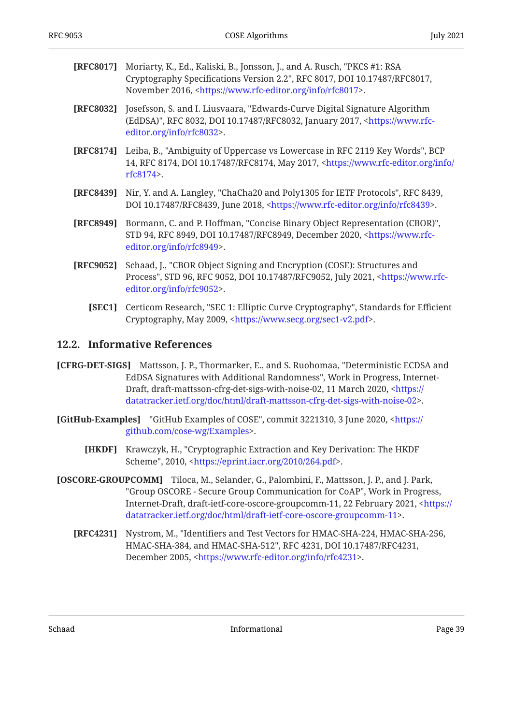- <span id="page-38-5"></span>**[RFC8017]** Moriarty, K., Ed., Kaliski, B., Jonsson, J., and A. Rusch, "PKCS #1: RSA Cryptography Specifications Version 2.2", RFC 8017, DOI 10.17487/RFC8017, November 2016, <https://www.rfc-editor.org/info/rfc8017>.
- <span id="page-38-7"></span>**[RFC8032]** Josefsson, S. and I. Liusvaara, "Edwards-Curve Digital Signature Algorithm (EdDSA)", RFC 8032, DOI 10.17487/RFC8032, January 2017, <[https://www.rfc-](https://www.rfc-editor.org/info/rfc8032). [editor.org/info/rfc8032>](https://www.rfc-editor.org/info/rfc8032)
- <span id="page-38-3"></span>**[RFC8174]** Leiba, B., "Ambiguity of Uppercase vs Lowercase in RFC 2119 Key Words", BCP 14, RFC 8174, DOI 10.17487/RFC8174, May 2017, [<https://www.rfc-editor.org/info/](https://www.rfc-editor.org/info/rfc8174) . [rfc8174>](https://www.rfc-editor.org/info/rfc8174)
- <span id="page-38-9"></span>**[RFC8439]** Nir, Y. and A. Langley, "ChaCha20 and Poly1305 for IETF Protocols", RFC 8439, DOI 10.17487/RFC8439, June 2018, <https://www.rfc-editor.org/info/rfc8439>.
- <span id="page-38-1"></span>**[RFC8949]** Bormann, C. and P. Hoffman, "Concise Binary Object Representation (CBOR)", STD 94, RFC 8949, DOI 10.17487/RFC8949, December 2020, <[https://www.rfc-](https://www.rfc-editor.org/info/rfc8949). [editor.org/info/rfc8949>](https://www.rfc-editor.org/info/rfc8949)
- <span id="page-38-2"></span>**[RFC9052]** Schaad, J., "CBOR Object Signing and Encryption (COSE): Structures and Process", STD 96, RFC 9052, DOI 10.17487/RFC9052, July 2021, <[https://www.rfc-](https://www.rfc-editor.org/info/rfc9052). [editor.org/info/rfc9052>](https://www.rfc-editor.org/info/rfc9052)
	- **[SEC1]** Certicom Research, "SEC 1: Elliptic Curve Cryptography", Standards for Efficient Cryptography, May 2009, <[https://www.secg.org/sec1-v2.pdf>](https://www.secg.org/sec1-v2.pdf).

#### <span id="page-38-11"></span><span id="page-38-0"></span>**[12.2. Informative References](#page-38-0)**

- <span id="page-38-6"></span>**[CFRG-DET-SIGS]** Mattsson, J. P., Thormarker, E., and S. Ruohomaa, "Deterministic ECDSA and EdDSA Signatures with Additional Randomness", Work in Progress, Internet-Draft, draft-mattsson-cfrg-det-sigs-with-noise-02, 11 March 2020, [<https://](https://datatracker.ietf.org/doc/html/draft-mattsson-cfrg-det-sigs-with-noise-02) . [datatracker.ietf.org/doc/html/draft-mattsson-cfrg-det-sigs-with-noise-02>](https://datatracker.ietf.org/doc/html/draft-mattsson-cfrg-det-sigs-with-noise-02)
- <span id="page-38-10"></span><span id="page-38-4"></span>**[GitHub-Examples]** "GitHub Examples of COSE", commit 3221310, 3 June 2020, [<https://](https://github.com/cose-wg/Examples) . [github.com/cose-wg/Examples](https://github.com/cose-wg/Examples)>
	- **[HKDF]** Krawczyk, H., "Cryptographic Extraction and Key Derivation: The HKDF Scheme", 2010, <[https://eprint.iacr.org/2010/264.pdf>](https://eprint.iacr.org/2010/264.pdf).
- <span id="page-38-12"></span><span id="page-38-8"></span>**[OSCORE-GROUPCOMM]** Tiloca, M., Selander, G., Palombini, F., Mattsson, J. P., and J. Park, "Group OSCORE - Secure Group Communication for CoAP", Work in Progress, Internet-Draft, draft-ietf-core-oscore-groupcomm-11, 22 February 2021, <[https://](https://datatracker.ietf.org/doc/html/draft-ietf-core-oscore-groupcomm-11) . [datatracker.ietf.org/doc/html/draft-ietf-core-oscore-groupcomm-11](https://datatracker.ietf.org/doc/html/draft-ietf-core-oscore-groupcomm-11)>
	- **[RFC4231]** , Nystrom, M. "Identifiers and Test Vectors for HMAC-SHA-224, HMAC-SHA-256, HMAC-SHA-384, and HMAC-SHA-512", RFC 4231, DOI 10.17487/RFC4231, December 2005, [<https://www.rfc-editor.org/info/rfc4231](https://www.rfc-editor.org/info/rfc4231)>.

Schaad Informational Page 39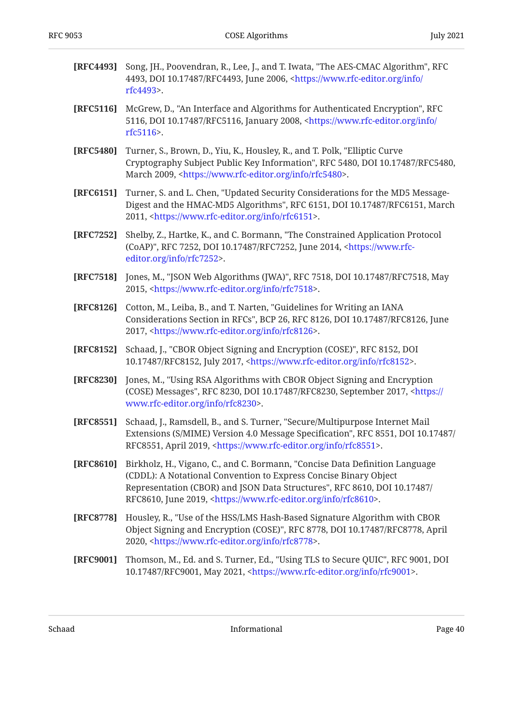<span id="page-39-11"></span><span id="page-39-10"></span><span id="page-39-9"></span><span id="page-39-8"></span><span id="page-39-7"></span><span id="page-39-6"></span><span id="page-39-5"></span><span id="page-39-4"></span><span id="page-39-3"></span><span id="page-39-2"></span><span id="page-39-1"></span><span id="page-39-0"></span>

| [RFC4493] | Song, JH., Poovendran, R., Lee, J., and T. Iwata, "The AES-CMAC Algorithm", RFC<br>4493, DOI 10.17487/RFC4493, June 2006, <https: <br="" info="" www.rfc-editor.org="">rfc4493&gt;.</https:>                                                                                                                   |
|-----------|----------------------------------------------------------------------------------------------------------------------------------------------------------------------------------------------------------------------------------------------------------------------------------------------------------------|
| [RFC5116] | McGrew, D., "An Interface and Algorithms for Authenticated Encryption", RFC<br>5116, DOI 10.17487/RFC5116, January 2008, <https: <br="" info="" www.rfc-editor.org="">rfc5116&gt;.</https:>                                                                                                                    |
| [RFC5480] | Turner, S., Brown, D., Yiu, K., Housley, R., and T. Polk, "Elliptic Curve<br>Cryptography Subject Public Key Information", RFC 5480, DOI 10.17487/RFC5480,<br>March 2009, <https: info="" rfc5480="" www.rfc-editor.org="">.</https:>                                                                          |
| [RFC6151] | Turner, S. and L. Chen, "Updated Security Considerations for the MD5 Message-<br>Digest and the HMAC-MD5 Algorithms", RFC 6151, DOI 10.17487/RFC6151, March<br>2011, <https: info="" rfc6151="" www.rfc-editor.org="">.</https:>                                                                               |
| [RFC7252] | Shelby, Z., Hartke, K., and C. Bormann, "The Constrained Application Protocol<br>(CoAP)", RFC 7252, DOI 10.17487/RFC7252, June 2014, <https: www.rfc-<br="">editor.org/info/rfc7252&gt;.</https:>                                                                                                              |
| [RFC7518] | Jones, M., "JSON Web Algorithms (JWA)", RFC 7518, DOI 10.17487/RFC7518, May<br>2015, <https: info="" rfc7518="" www.rfc-editor.org="">.</https:>                                                                                                                                                               |
| [RFC8126] | Cotton, M., Leiba, B., and T. Narten, "Guidelines for Writing an IANA<br>Considerations Section in RFCs", BCP 26, RFC 8126, DOI 10.17487/RFC8126, June<br>2017, <https: info="" rfc8126="" www.rfc-editor.org="">.</https:>                                                                                    |
| [RFC8152] | Schaad, J., "CBOR Object Signing and Encryption (COSE)", RFC 8152, DOI<br>10.17487/RFC8152, July 2017, <https: info="" rfc8152="" www.rfc-editor.org="">.</https:>                                                                                                                                             |
| [RFC8230] | Jones, M., "Using RSA Algorithms with CBOR Object Signing and Encryption<br>(COSE) Messages", RFC 8230, DOI 10.17487/RFC8230, September 2017, <https: <br="">www.rfc-editor.org/info/rfc8230&gt;.</https:>                                                                                                     |
| [RFC8551] | Schaad, J., Ramsdell, B., and S. Turner, "Secure/Multipurpose Internet Mail<br>Extensions (S/MIME) Version 4.0 Message Specification", RFC 8551, DOI 10.17487/<br>RFC8551, April 2019, <https: info="" rfc8551="" www.rfc-editor.org="">.</https:>                                                             |
| [RFC8610] | Birkholz, H., Vigano, C., and C. Bormann, "Concise Data Definition Language<br>(CDDL): A Notational Convention to Express Concise Binary Object<br>Representation (CBOR) and JSON Data Structures", RFC 8610, DOI 10.17487/<br>RFC8610, June 2019, <https: info="" rfc8610="" www.rfc-editor.org="">.</https:> |
| [RFC8778] | Housley, R., "Use of the HSS/LMS Hash-Based Signature Algorithm with CBOR<br>Object Signing and Encryption (COSE)", RFC 8778, DOI 10.17487/RFC8778, April<br>2020, <https: info="" rfc8778="" www.rfc-editor.org="">.</https:>                                                                                 |
| [RFC9001] | Thomson, M., Ed. and S. Turner, Ed., "Using TLS to Secure QUIC", RFC 9001, DOI<br>10.17487/RFC9001, May 2021, <https: info="" rfc9001="" www.rfc-editor.org="">.</https:>                                                                                                                                      |
|           |                                                                                                                                                                                                                                                                                                                |